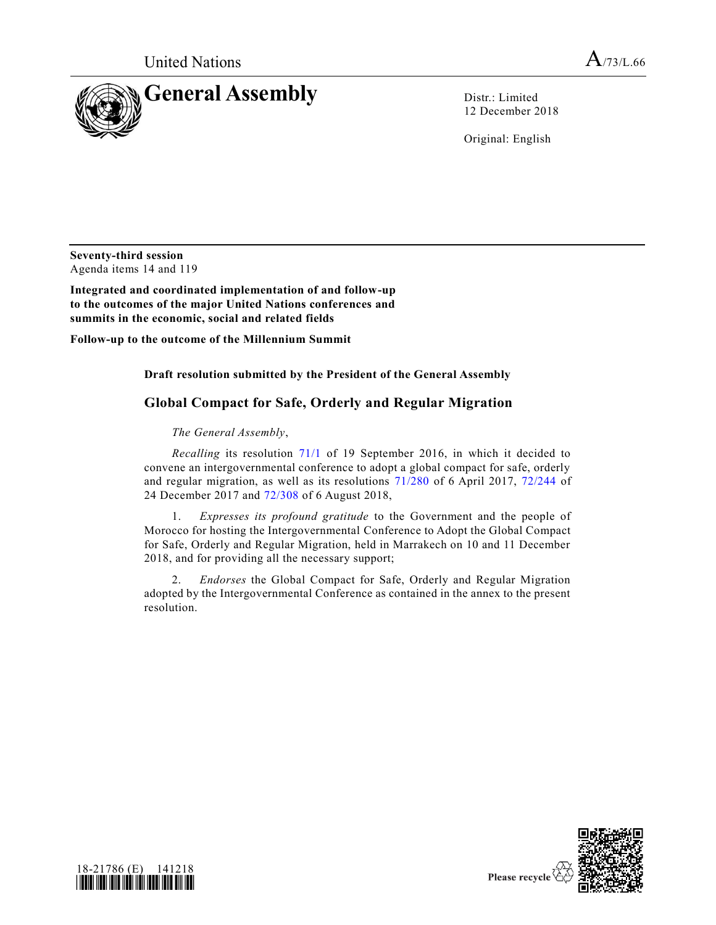

12 December 2018

Original: English

**Seventy-third session**  Agenda items 14 and 119

**Integrated and coordinated implementation of and follow-up to the outcomes of the major United Nations conferences and summits in the economic, social and related fields**

**Follow-up to the outcome of the Millennium Summit**

**Draft resolution submitted by the President of the General Assembly**

# **Global Compact for Safe, Orderly and Regular Migration**

# *The General Assembly*,

*Recalling* its resolution [71/1](https://undocs.org/A/RES/71/1) of 19 September 2016, in which it decided to convene an intergovernmental conference to adopt a global compact for safe, orderly and regular migration, as well as its resolutions [71/280](https://undocs.org/A/RES/71/280) of 6 April 2017, [72/244](https://undocs.org/A/RES/72/244) of 24 December 2017 and [72/308](https://undocs.org/A/RES/72/308) of 6 August 2018,

1. *Expresses its profound gratitude* to the Government and the people of Morocco for hosting the Intergovernmental Conference to Adopt the Global Compact for Safe, Orderly and Regular Migration, held in Marrakech on 10 and 11 December 2018, and for providing all the necessary support;

2. *Endorses* the Global Compact for Safe, Orderly and Regular Migration adopted by the Intergovernmental Conference as contained in the annex to the present resolution.



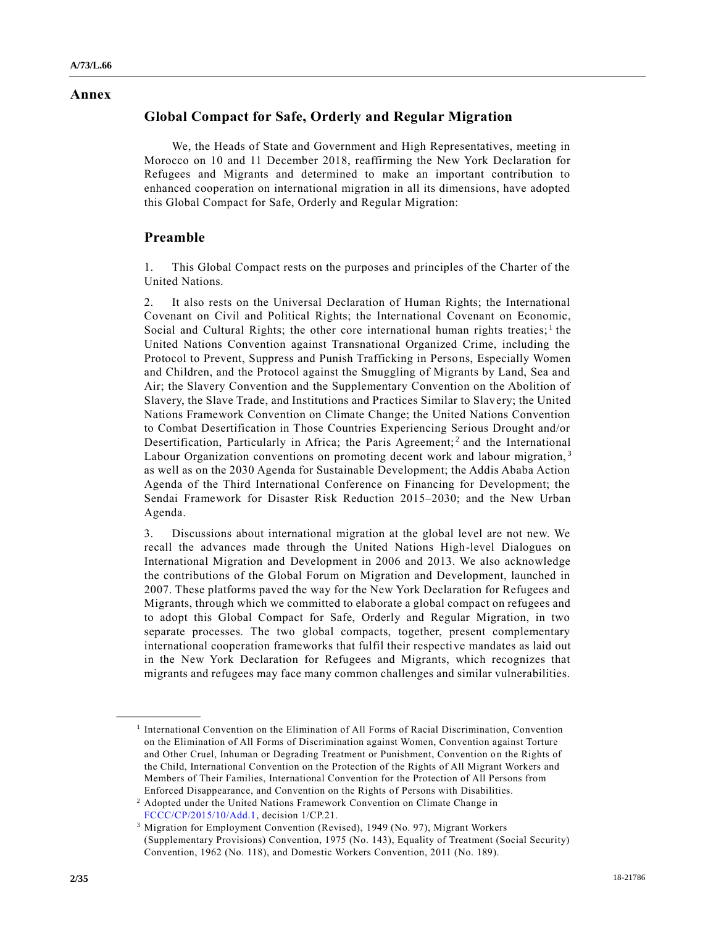#### **Annex**

### **Global Compact for Safe, Orderly and Regular Migration**

We, the Heads of State and Government and High Representatives, meeting in Morocco on 10 and 11 December 2018, reaffirming the New York Declaration for Refugees and Migrants and determined to make an important contribution to enhanced cooperation on international migration in all its dimensions, have adopted this Global Compact for Safe, Orderly and Regular Migration:

# **Preamble**

**\_\_\_\_\_\_\_\_\_\_\_\_\_\_\_\_\_\_**

1. This Global Compact rests on the purposes and principles of the Charter of the United Nations.

2. It also rests on the Universal Declaration of Human Rights; the International Covenant on Civil and Political Rights; the International Covenant on Economic, Social and Cultural Rights; the other core international human rights treaties;<sup>1</sup> the United Nations Convention against Transnational Organized Crime, including the Protocol to Prevent, Suppress and Punish Trafficking in Persons, Especially Women and Children, and the Protocol against the Smuggling of Migrants by Land, Sea and Air; the Slavery Convention and the Supplementary Convention on the Abolition of Slavery, the Slave Trade, and Institutions and Practices Similar to Slavery; the United Nations Framework Convention on Climate Change; the United Nations Convention to Combat Desertification in Those Countries Experiencing Serious Drought and/or Desertification, Particularly in Africa; the Paris Agreement;<sup>2</sup> and the International Labour Organization conventions on promoting decent work and labour migration,<sup>3</sup> as well as on the 2030 Agenda for Sustainable Development; the Addis Ababa Action Agenda of the Third International Conference on Financing for Development; the Sendai Framework for Disaster Risk Reduction 2015–2030; and the New Urban Agenda.

3. Discussions about international migration at the global level are not new. We recall the advances made through the United Nations High-level Dialogues on International Migration and Development in 2006 and 2013. We also acknowledge the contributions of the Global Forum on Migration and Development, launched in 2007. These platforms paved the way for the New York Declaration for Refugees and Migrants, through which we committed to elaborate a global compact on refugees and to adopt this Global Compact for Safe, Orderly and Regular Migration, in two separate processes. The two global compacts, together, present complementary international cooperation frameworks that fulfil their respective mandates as laid out in the New York Declaration for Refugees and Migrants, which recognizes that migrants and refugees may face many common challenges and similar vulnerabilities.

<sup>1</sup> International Convention on the Elimination of All Forms of Racial Discrimination, Convention on the Elimination of All Forms of Discrimination against Women, Convention against Torture and Other Cruel, Inhuman or Degrading Treatment or Punishment, Convention on the Rights of the Child, International Convention on the Protection of the Rights of All Migrant Workers and Members of Their Families, International Convention for the Protection of All Persons from Enforced Disappearance, and Convention on the Rights of Persons with Disabilities.

<sup>2</sup> Adopted under the United Nations Framework Convention on Climate Change in [FCCC/CP/2015/10/Add.1,](https://undocs.org/FCCC/CP/2015/10/Add.1) decision 1/CP.21.

<sup>3</sup> Migration for Employment Convention (Revised), 1949 (No. 97), Migrant Workers (Supplementary Provisions) Convention, 1975 (No. 143), Equality of Treatment (Social Security) Convention, 1962 (No. 118), and Domestic Workers Convention, 2011 (No. 189).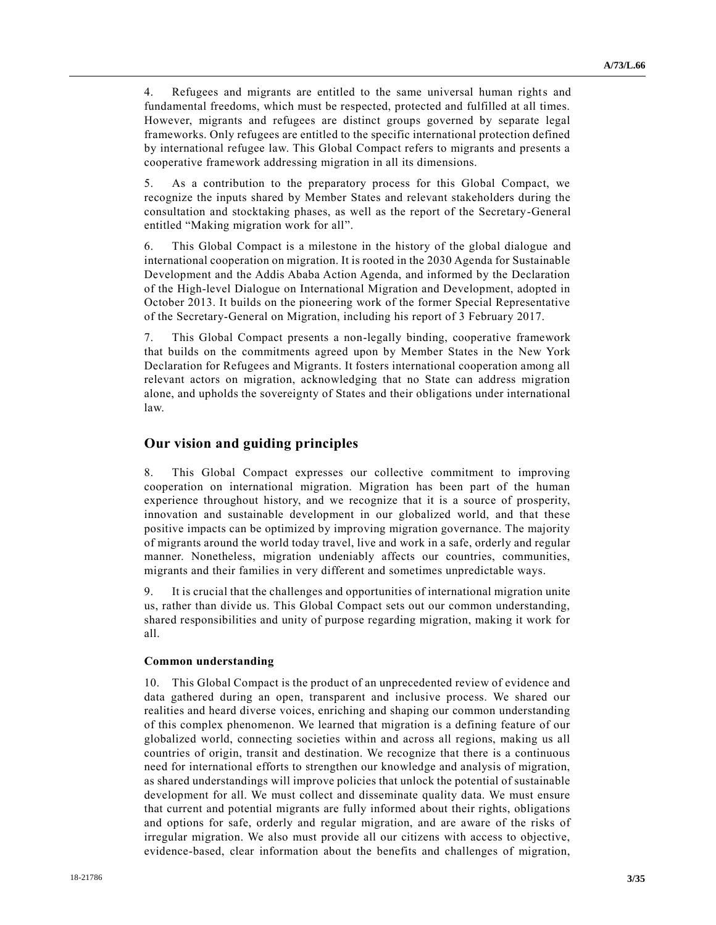4. Refugees and migrants are entitled to the same universal human rights and fundamental freedoms, which must be respected, protected and fulfilled at all times. However, migrants and refugees are distinct groups governed by separate legal frameworks. Only refugees are entitled to the specific international protection defined by international refugee law. This Global Compact refers to migrants and presents a cooperative framework addressing migration in all its dimensions.

5. As a contribution to the preparatory process for this Global Compact, we recognize the inputs shared by Member States and relevant stakeholders during the consultation and stocktaking phases, as well as the report of the Secretary-General entitled "Making migration work for all".

6. This Global Compact is a milestone in the history of the global dialogue and international cooperation on migration. It is rooted in the 2030 Agenda for Sustainable Development and the Addis Ababa Action Agenda, and informed by the Declaration of the High-level Dialogue on International Migration and Development, adopted in October 2013. It builds on the pioneering work of the former Special Representative of the Secretary-General on Migration, including his report of 3 February 2017.

7. This Global Compact presents a non-legally binding, cooperative framework that builds on the commitments agreed upon by Member States in the New York Declaration for Refugees and Migrants. It fosters international cooperation among all relevant actors on migration, acknowledging that no State can address migration alone, and upholds the sovereignty of States and their obligations under international law.

# **Our vision and guiding principles**

8. This Global Compact expresses our collective commitment to improving cooperation on international migration. Migration has been part of the human experience throughout history, and we recognize that it is a source of prosperity, innovation and sustainable development in our globalized world, and that these positive impacts can be optimized by improving migration governance. The majority of migrants around the world today travel, live and work in a safe, orderly and regular manner. Nonetheless, migration undeniably affects our countries, communities, migrants and their families in very different and sometimes unpredictable ways.

9. It is crucial that the challenges and opportunities of international migration unite us, rather than divide us. This Global Compact sets out our common understanding, shared responsibilities and unity of purpose regarding migration, making it work for all.

#### **Common understanding**

10. This Global Compact is the product of an unprecedented review of evidence and data gathered during an open, transparent and inclusive process. We shared our realities and heard diverse voices, enriching and shaping our common understanding of this complex phenomenon. We learned that migration is a defining feature of our globalized world, connecting societies within and across all regions, making us all countries of origin, transit and destination. We recognize that there is a continuous need for international efforts to strengthen our knowledge and analysis of migration, as shared understandings will improve policies that unlock the potential of sustainable development for all. We must collect and disseminate quality data. We must ensure that current and potential migrants are fully informed about their rights, obligations and options for safe, orderly and regular migration, and are aware of the risks of irregular migration. We also must provide all our citizens with access to objective, evidence-based, clear information about the benefits and challenges of migration,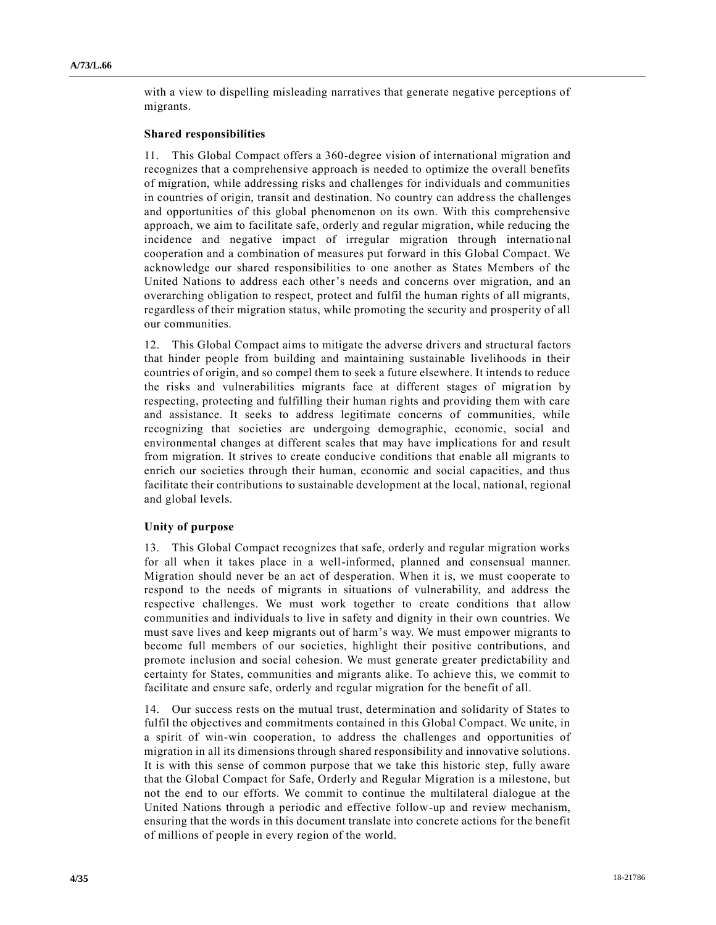with a view to dispelling misleading narratives that generate negative perceptions of migrants.

#### **Shared responsibilities**

11. This Global Compact offers a 360-degree vision of international migration and recognizes that a comprehensive approach is needed to optimize the overall benefits of migration, while addressing risks and challenges for individuals and communities in countries of origin, transit and destination. No country can addre ss the challenges and opportunities of this global phenomenon on its own. With this comprehensive approach, we aim to facilitate safe, orderly and regular migration, while reducing the incidence and negative impact of irregular migration through internatio nal cooperation and a combination of measures put forward in this Global Compact. We acknowledge our shared responsibilities to one another as States Members of the United Nations to address each other's needs and concerns over migration, and an overarching obligation to respect, protect and fulfil the human rights of all migrants, regardless of their migration status, while promoting the security and prosperity of all our communities.

12. This Global Compact aims to mitigate the adverse drivers and structural factors that hinder people from building and maintaining sustainable livelihoods in their countries of origin, and so compel them to seek a future elsewhere. It intends to reduce the risks and vulnerabilities migrants face at different stages of migration by respecting, protecting and fulfilling their human rights and providing them with care and assistance. It seeks to address legitimate concerns of communities, while recognizing that societies are undergoing demographic, economic, social and environmental changes at different scales that may have implications for and result from migration. It strives to create conducive conditions that enable all migrants to enrich our societies through their human, economic and social capacities, and thus facilitate their contributions to sustainable development at the local, national, regional and global levels.

### **Unity of purpose**

13. This Global Compact recognizes that safe, orderly and regular migration works for all when it takes place in a well-informed, planned and consensual manner. Migration should never be an act of desperation. When it is, we must cooperate to respond to the needs of migrants in situations of vulnerability, and address the respective challenges. We must work together to create conditions that allow communities and individuals to live in safety and dignity in their own countries. We must save lives and keep migrants out of harm's way. We must empower migrants to become full members of our societies, highlight their positive contributions, and promote inclusion and social cohesion. We must generate greater predictability and certainty for States, communities and migrants alike. To achieve this, we commit to facilitate and ensure safe, orderly and regular migration for the benefit of all.

14. Our success rests on the mutual trust, determination and solidarity of States to fulfil the objectives and commitments contained in this Global Compact. We unite, in a spirit of win-win cooperation, to address the challenges and opportunities of migration in all its dimensions through shared responsibility and innovative solutions. It is with this sense of common purpose that we take this historic step, fully aware that the Global Compact for Safe, Orderly and Regular Migration is a milestone, but not the end to our efforts. We commit to continue the multilateral dialogue at the United Nations through a periodic and effective follow-up and review mechanism, ensuring that the words in this document translate into concrete actions for the benefit of millions of people in every region of the world.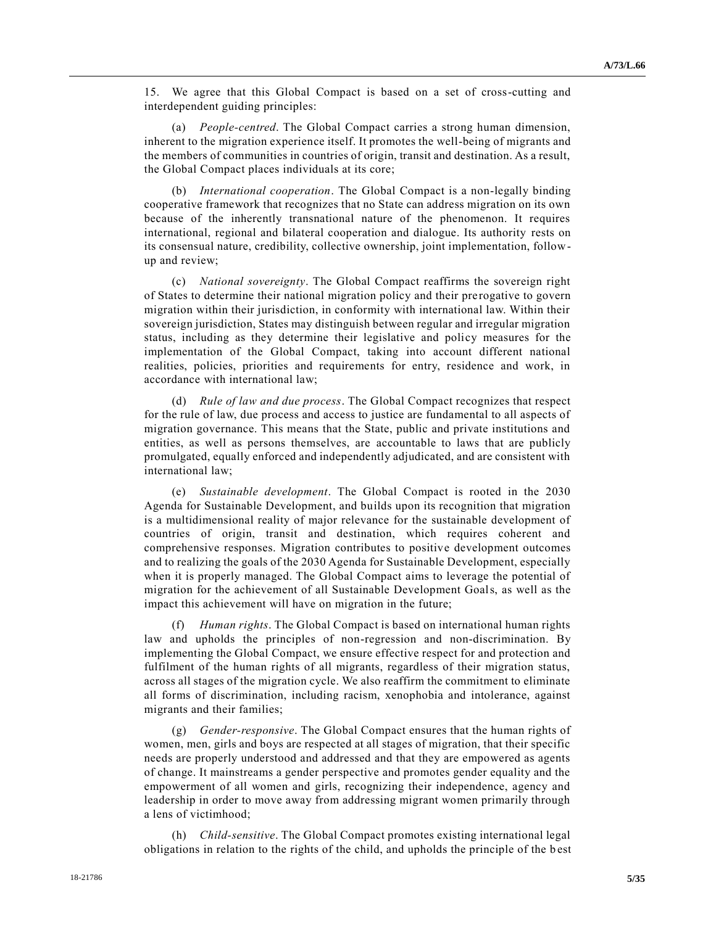15. We agree that this Global Compact is based on a set of cross-cutting and interdependent guiding principles:

(a) *People-centred*. The Global Compact carries a strong human dimension, inherent to the migration experience itself. It promotes the well-being of migrants and the members of communities in countries of origin, transit and destination. As a result, the Global Compact places individuals at its core;

(b) *International cooperation*. The Global Compact is a non-legally binding cooperative framework that recognizes that no State can address migration on its own because of the inherently transnational nature of the phenomenon. It requires international, regional and bilateral cooperation and dialogue. Its authority rests on its consensual nature, credibility, collective ownership, joint implementation, followup and review;

(c) *National sovereignty*. The Global Compact reaffirms the sovereign right of States to determine their national migration policy and their prerogative to govern migration within their jurisdiction, in conformity with international law. Within their sovereign jurisdiction, States may distinguish between regular and irregular migration status, including as they determine their legislative and policy measures for the implementation of the Global Compact, taking into account different national realities, policies, priorities and requirements for entry, residence and work, in accordance with international law;

(d) *Rule of law and due process*. The Global Compact recognizes that respect for the rule of law, due process and access to justice are fundamental to all aspects of migration governance. This means that the State, public and private institutions and entities, as well as persons themselves, are accountable to laws that are publicly promulgated, equally enforced and independently adjudicated, and are consistent with international law;

(e) *Sustainable development*. The Global Compact is rooted in the 2030 Agenda for Sustainable Development, and builds upon its recognition that migration is a multidimensional reality of major relevance for the sustainable development of countries of origin, transit and destination, which requires coherent and comprehensive responses. Migration contributes to positive development outcomes and to realizing the goals of the 2030 Agenda for Sustainable Development, especially when it is properly managed. The Global Compact aims to leverage the potential of migration for the achievement of all Sustainable Development Goals, as well as the impact this achievement will have on migration in the future;

(f) *Human rights*. The Global Compact is based on international human rights law and upholds the principles of non-regression and non-discrimination. By implementing the Global Compact, we ensure effective respect for and protection and fulfilment of the human rights of all migrants, regardless of their migration status, across all stages of the migration cycle. We also reaffirm the commitment to eliminate all forms of discrimination, including racism, xenophobia and intolerance, against migrants and their families;

(g) *Gender-responsive*. The Global Compact ensures that the human rights of women, men, girls and boys are respected at all stages of migration, that their specific needs are properly understood and addressed and that they are empowered as agents of change. It mainstreams a gender perspective and promotes gender equality and the empowerment of all women and girls, recognizing their independence, agency and leadership in order to move away from addressing migrant women primarily through a lens of victimhood;

(h) *Child-sensitive*. The Global Compact promotes existing international legal obligations in relation to the rights of the child, and upholds the principle of the b est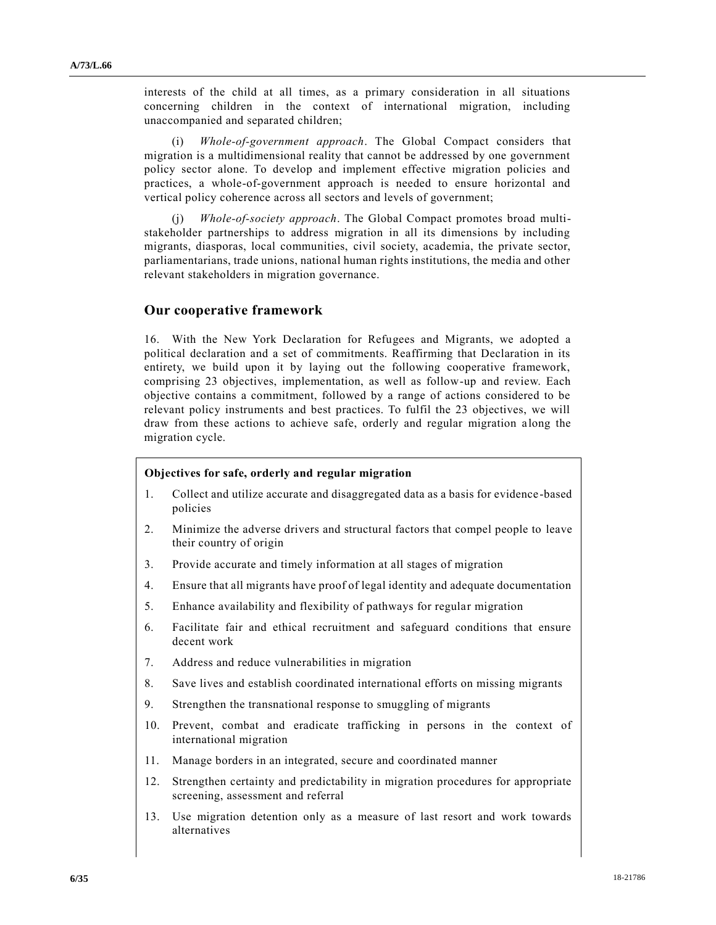interests of the child at all times, as a primary consideration in all situations concerning children in the context of international migration, including unaccompanied and separated children;

(i) *Whole-of-government approach*. The Global Compact considers that migration is a multidimensional reality that cannot be addressed by one government policy sector alone. To develop and implement effective migration policies and practices, a whole-of-government approach is needed to ensure horizontal and vertical policy coherence across all sectors and levels of government;

*Whole-of-society approach*. The Global Compact promotes broad multistakeholder partnerships to address migration in all its dimensions by including migrants, diasporas, local communities, civil society, academia, the private sector, parliamentarians, trade unions, national human rights institutions, the media and other relevant stakeholders in migration governance.

### **Our cooperative framework**

16. With the New York Declaration for Refugees and Migrants, we adopted a political declaration and a set of commitments. Reaffirming that Declaration in its entirety, we build upon it by laying out the following cooperative framework, comprising 23 objectives, implementation, as well as follow-up and review. Each objective contains a commitment, followed by a range of actions considered to be relevant policy instruments and best practices. To fulfil the 23 objectives, we will draw from these actions to achieve safe, orderly and regular migration along the migration cycle.

#### **Objectives for safe, orderly and regular migration**

- 1. Collect and utilize accurate and disaggregated data as a basis for evidence -based policies
- 2. Minimize the adverse drivers and structural factors that compel people to leave their country of origin
- 3. Provide accurate and timely information at all stages of migration
- 4. Ensure that all migrants have proof of legal identity and adequate documentation
- 5. Enhance availability and flexibility of pathways for regular migration
- 6. Facilitate fair and ethical recruitment and safeguard conditions that ensure decent work
- 7. Address and reduce vulnerabilities in migration
- 8. Save lives and establish coordinated international efforts on missing migrants
- 9. Strengthen the transnational response to smuggling of migrants
- 10. Prevent, combat and eradicate trafficking in persons in the context of international migration
- 11. Manage borders in an integrated, secure and coordinated manner
- 12. Strengthen certainty and predictability in migration procedures for appropriate screening, assessment and referral
- 13. Use migration detention only as a measure of last resort and work towards alternatives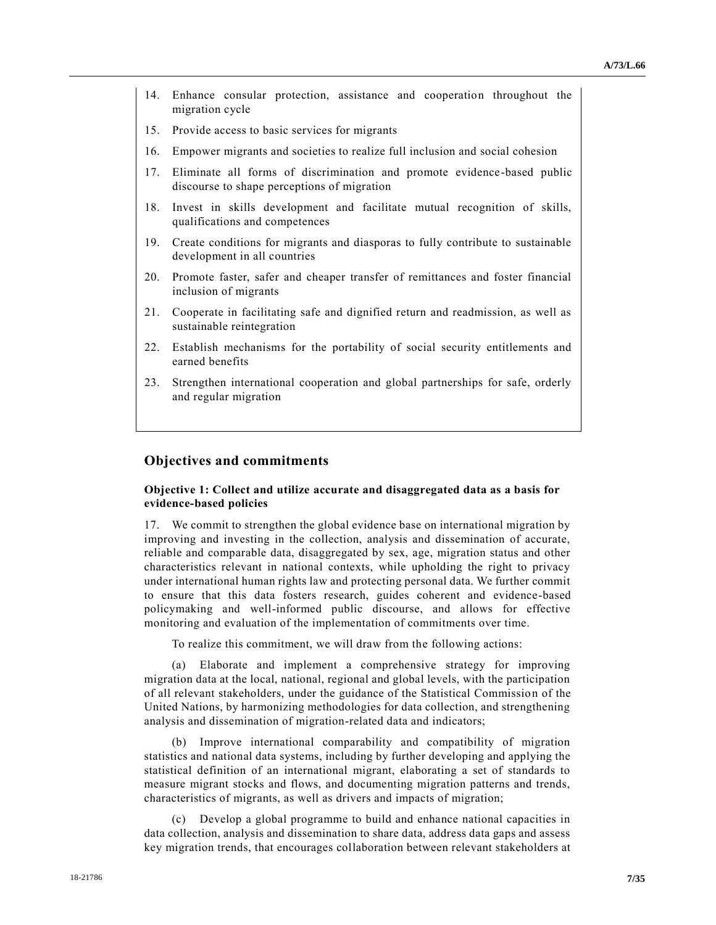- 14. Enhance consular protection, assistance and cooperation throughout the migration cycle
- 15. Provide access to basic services for migrants
- 16. Empower migrants and societies to realize full inclusion and social cohesion
- 17. Eliminate all forms of discrimination and promote evidence-based public discourse to shape perceptions of migration
- 18. Invest in skills development and facilitate mutual recognition of skills, qualifications and competences
- 19. Create conditions for migrants and diasporas to fully contribute to sustainable development in all countries
- 20. Promote faster, safer and cheaper transfer of remittances and foster financial inclusion of migrants
- 21. Cooperate in facilitating safe and dignified return and readmission, as well as sustainable reintegration
- 22. Establish mechanisms for the portability of social security entitlements and earned benefits
- 23. Strengthen international cooperation and global partnerships for safe, orderly and regular migration

### **Objectives and commitments**

#### **Objective 1: Collect and utilize accurate and disaggregated data as a basis for evidence-based policies**

17. We commit to strengthen the global evidence base on international migration by improving and investing in the collection, analysis and dissemination of accurate, reliable and comparable data, disaggregated by sex, age, migration status and other characteristics relevant in national contexts, while upholding the right to privacy under international human rights law and protecting personal data. We further commit to ensure that this data fosters research, guides coherent and evidence-based policymaking and well-informed public discourse, and allows for effective monitoring and evaluation of the implementation of commitments over time.

To realize this commitment, we will draw from the following actions:

(a) Elaborate and implement a comprehensive strategy for improving migration data at the local, national, regional and global levels, with the participation of all relevant stakeholders, under the guidance of the Statistical Commissio n of the United Nations, by harmonizing methodologies for data collection, and strengthening analysis and dissemination of migration-related data and indicators;

(b) Improve international comparability and compatibility of migration statistics and national data systems, including by further developing and applying the statistical definition of an international migrant, elaborating a set of standards to measure migrant stocks and flows, and documenting migration patterns and trends, characteristics of migrants, as well as drivers and impacts of migration;

(c) Develop a global programme to build and enhance national capacities in data collection, analysis and dissemination to share data, address data gaps and assess key migration trends, that encourages collaboration between relevant stakeholders at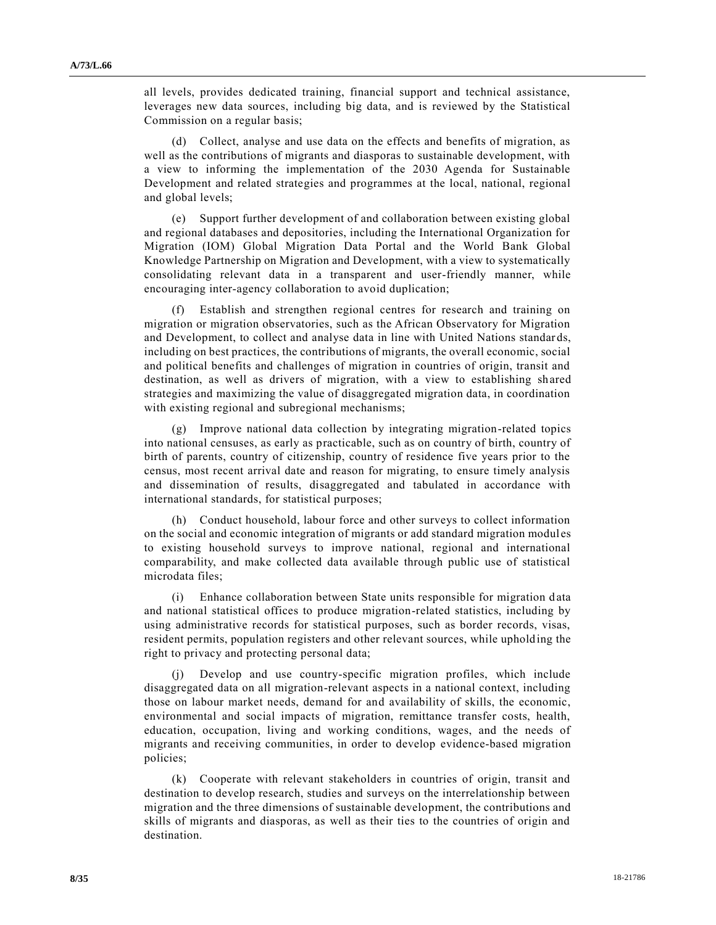all levels, provides dedicated training, financial support and technical assistance, leverages new data sources, including big data, and is reviewed by the Statistical Commission on a regular basis;

(d) Collect, analyse and use data on the effects and benefits of migration, as well as the contributions of migrants and diasporas to sustainable development, with a view to informing the implementation of the 2030 Agenda for Sustainable Development and related strategies and programmes at the local, national, regional and global levels;

(e) Support further development of and collaboration between existing global and regional databases and depositories, including the International Organization for Migration (IOM) Global Migration Data Portal and the World Bank Global Knowledge Partnership on Migration and Development, with a view to systematically consolidating relevant data in a transparent and user-friendly manner, while encouraging inter-agency collaboration to avoid duplication;

(f) Establish and strengthen regional centres for research and training on migration or migration observatories, such as the African Observatory for Migration and Development, to collect and analyse data in line with United Nations standar ds, including on best practices, the contributions of migrants, the overall economic, social and political benefits and challenges of migration in countries of origin, transit and destination, as well as drivers of migration, with a view to establishing shared strategies and maximizing the value of disaggregated migration data, in coordination with existing regional and subregional mechanisms;

(g) Improve national data collection by integrating migration-related topics into national censuses, as early as practicable, such as on country of birth, country of birth of parents, country of citizenship, country of residence five years prior to the census, most recent arrival date and reason for migrating, to ensure timely analysis and dissemination of results, disaggregated and tabulated in accordance with international standards, for statistical purposes;

Conduct household, labour force and other surveys to collect information on the social and economic integration of migrants or add standard migration modul es to existing household surveys to improve national, regional and international comparability, and make collected data available through public use of statistical microdata files;

(i) Enhance collaboration between State units responsible for migration d ata and national statistical offices to produce migration-related statistics, including by using administrative records for statistical purposes, such as border records, visas, resident permits, population registers and other relevant sources, while upholding the right to privacy and protecting personal data;

Develop and use country-specific migration profiles, which include disaggregated data on all migration-relevant aspects in a national context, including those on labour market needs, demand for and availability of skills, the economic, environmental and social impacts of migration, remittance transfer costs, health, education, occupation, living and working conditions, wages, and the needs of migrants and receiving communities, in order to develop evidence-based migration policies;

(k) Cooperate with relevant stakeholders in countries of origin, transit and destination to develop research, studies and surveys on the interrelationship between migration and the three dimensions of sustainable development, the contributions and skills of migrants and diasporas, as well as their ties to the countries of origin and destination.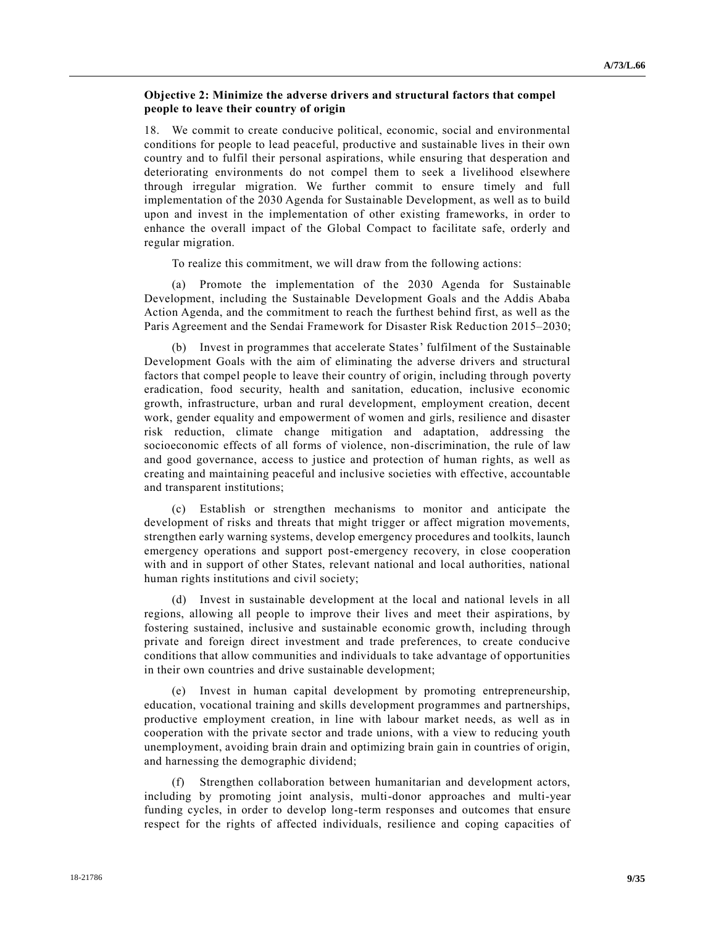#### **Objective 2: Minimize the adverse drivers and structural factors that compel people to leave their country of origin**

18. We commit to create conducive political, economic, social and environmental conditions for people to lead peaceful, productive and sustainable lives in their own country and to fulfil their personal aspirations, while ensuring that desperation and deteriorating environments do not compel them to seek a livelihood elsewhere through irregular migration. We further commit to ensure timely and full implementation of the 2030 Agenda for Sustainable Development, as well as to build upon and invest in the implementation of other existing frameworks, in order to enhance the overall impact of the Global Compact to facilitate safe, orderly and regular migration.

To realize this commitment, we will draw from the following actions:

(a) Promote the implementation of the 2030 Agenda for Sustainable Development, including the Sustainable Development Goals and the Addis Ababa Action Agenda, and the commitment to reach the furthest behind first, as well as the Paris Agreement and the Sendai Framework for Disaster Risk Reduc tion 2015–2030;

(b) Invest in programmes that accelerate States' fulfilment of the Sustainable Development Goals with the aim of eliminating the adverse drivers and structural factors that compel people to leave their country of origin, including through poverty eradication, food security, health and sanitation, education, inclusive economic growth, infrastructure, urban and rural development, employment creation, decent work, gender equality and empowerment of women and girls, resilience and disaster risk reduction, climate change mitigation and adaptation, addressing the socioeconomic effects of all forms of violence, non-discrimination, the rule of law and good governance, access to justice and protection of human rights, as well as creating and maintaining peaceful and inclusive societies with effective, accountable and transparent institutions;

(c) Establish or strengthen mechanisms to monitor and anticipate the development of risks and threats that might trigger or affect migration movements, strengthen early warning systems, develop emergency procedures and toolkits, launch emergency operations and support post-emergency recovery, in close cooperation with and in support of other States, relevant national and local authorities, national human rights institutions and civil society;

(d) Invest in sustainable development at the local and national levels in all regions, allowing all people to improve their lives and meet their aspirations, by fostering sustained, inclusive and sustainable economic growth, including through private and foreign direct investment and trade preferences, to create conducive conditions that allow communities and individuals to take advantage of opportunities in their own countries and drive sustainable development;

(e) Invest in human capital development by promoting entrepreneurship, education, vocational training and skills development programmes and partnerships, productive employment creation, in line with labour market needs, as well as in cooperation with the private sector and trade unions, with a view to reducing youth unemployment, avoiding brain drain and optimizing brain gain in countries of origin, and harnessing the demographic dividend;

(f) Strengthen collaboration between humanitarian and development actors, including by promoting joint analysis, multi-donor approaches and multi-year funding cycles, in order to develop long-term responses and outcomes that ensure respect for the rights of affected individuals, resilience and coping capacities of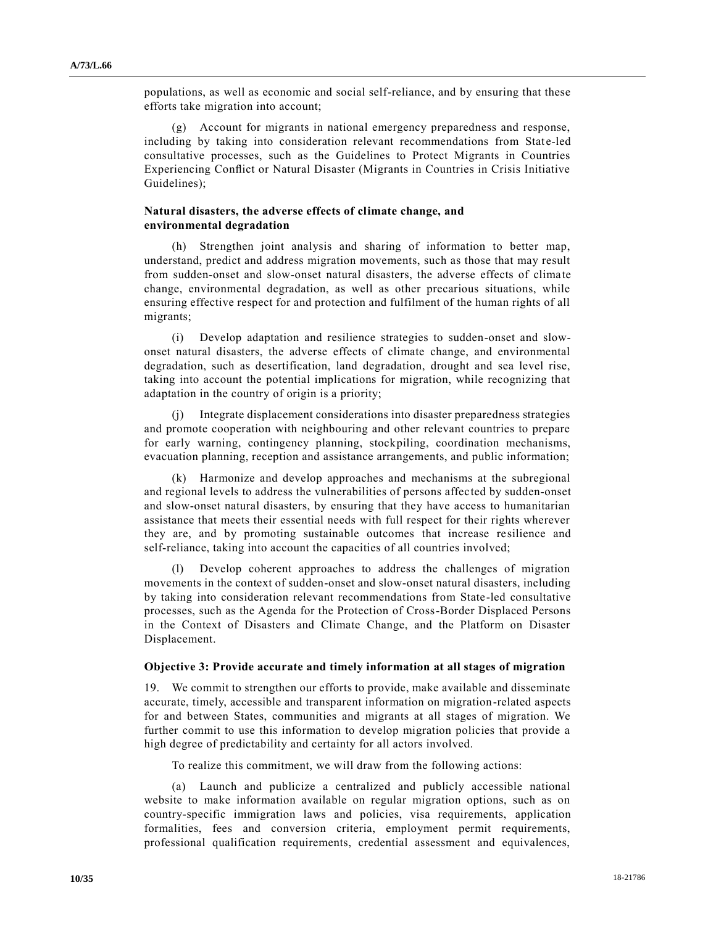populations, as well as economic and social self-reliance, and by ensuring that these efforts take migration into account;

(g) Account for migrants in national emergency preparedness and response, including by taking into consideration relevant recommendations from State-led consultative processes, such as the Guidelines to Protect Migrants in Countries Experiencing Conflict or Natural Disaster (Migrants in Countries in Crisis Initiative Guidelines);

### **Natural disasters, the adverse effects of climate change, and environmental degradation**

(h) Strengthen joint analysis and sharing of information to better map, understand, predict and address migration movements, such as those that may result from sudden-onset and slow-onset natural disasters, the adverse effects of climate change, environmental degradation, as well as other precarious situations, while ensuring effective respect for and protection and fulfilment of the human rights of all migrants;

(i) Develop adaptation and resilience strategies to sudden-onset and slowonset natural disasters, the adverse effects of climate change, and environmental degradation, such as desertification, land degradation, drought and sea level rise, taking into account the potential implications for migration, while recognizing that adaptation in the country of origin is a priority;

Integrate displacement considerations into disaster preparedness strategies and promote cooperation with neighbouring and other relevant countries to prepare for early warning, contingency planning, stockpiling, coordination mechanisms, evacuation planning, reception and assistance arrangements, and public information;

(k) Harmonize and develop approaches and mechanisms at the subregional and regional levels to address the vulnerabilities of persons affected by sudden-onset and slow-onset natural disasters, by ensuring that they have access to humanitarian assistance that meets their essential needs with full respect for their rights wherever they are, and by promoting sustainable outcomes that increase resilience and self-reliance, taking into account the capacities of all countries involved;

(l) Develop coherent approaches to address the challenges of migration movements in the context of sudden-onset and slow-onset natural disasters, including by taking into consideration relevant recommendations from State-led consultative processes, such as the Agenda for the Protection of Cross-Border Displaced Persons in the Context of Disasters and Climate Change, and the Platform on Disaster Displacement.

#### **Objective 3: Provide accurate and timely information at all stages of migration**

19. We commit to strengthen our efforts to provide, make available and disseminate accurate, timely, accessible and transparent information on migration-related aspects for and between States, communities and migrants at all stages of migration. We further commit to use this information to develop migration policies that provide a high degree of predictability and certainty for all actors involved.

To realize this commitment, we will draw from the following actions:

(a) Launch and publicize a centralized and publicly accessible national website to make information available on regular migration options, such as on country-specific immigration laws and policies, visa requirements, application formalities, fees and conversion criteria, employment permit requirements, professional qualification requirements, credential assessment and equivalences,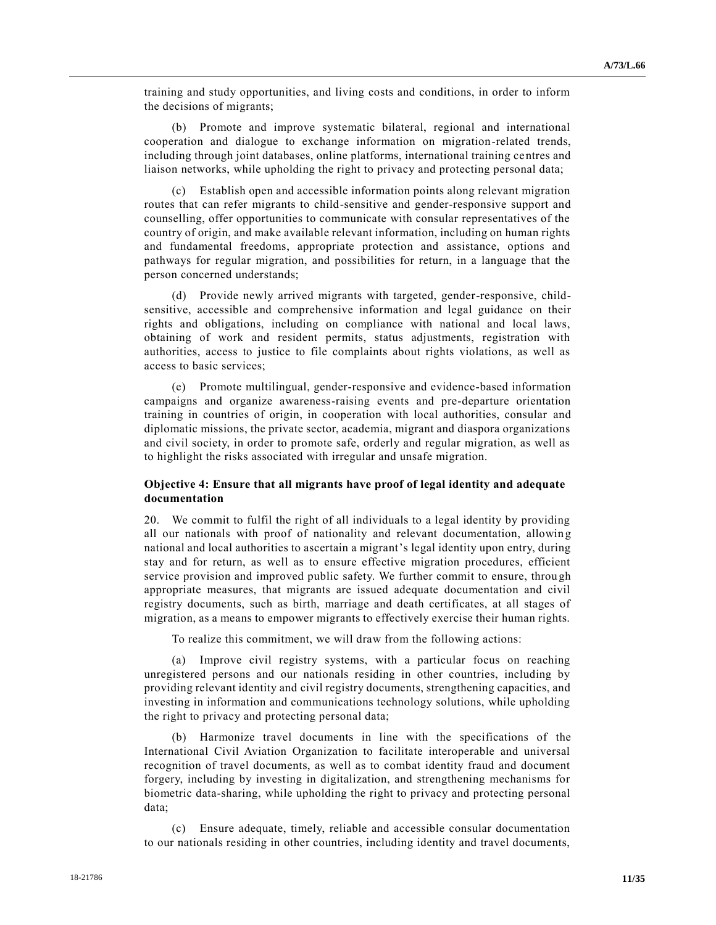training and study opportunities, and living costs and conditions, in order to inform the decisions of migrants;

(b) Promote and improve systematic bilateral, regional and international cooperation and dialogue to exchange information on migration-related trends, including through joint databases, online platforms, international training centres and liaison networks, while upholding the right to privacy and protecting personal data;

(c) Establish open and accessible information points along relevant migration routes that can refer migrants to child-sensitive and gender-responsive support and counselling, offer opportunities to communicate with consular representatives of the country of origin, and make available relevant information, including on human rights and fundamental freedoms, appropriate protection and assistance, options and pathways for regular migration, and possibilities for return, in a language that the person concerned understands;

(d) Provide newly arrived migrants with targeted, gender-responsive, childsensitive, accessible and comprehensive information and legal guidance on their rights and obligations, including on compliance with national and local laws, obtaining of work and resident permits, status adjustments, registration with authorities, access to justice to file complaints about rights violations, as well as access to basic services;

(e) Promote multilingual, gender-responsive and evidence-based information campaigns and organize awareness-raising events and pre-departure orientation training in countries of origin, in cooperation with local authorities, consular and diplomatic missions, the private sector, academia, migrant and diaspora organizations and civil society, in order to promote safe, orderly and regular migration, as well as to highlight the risks associated with irregular and unsafe migration.

### **Objective 4: Ensure that all migrants have proof of legal identity and adequate documentation**

20. We commit to fulfil the right of all individuals to a legal identity by providing all our nationals with proof of nationality and relevant documentation, allowing national and local authorities to ascertain a migrant's legal identity upon entry, during stay and for return, as well as to ensure effective migration procedures, efficient service provision and improved public safety. We further commit to ensure, throu gh appropriate measures, that migrants are issued adequate documentation and civil registry documents, such as birth, marriage and death certificates, at all stages of migration, as a means to empower migrants to effectively exercise their human rights.

To realize this commitment, we will draw from the following actions:

(a) Improve civil registry systems, with a particular focus on reaching unregistered persons and our nationals residing in other countries, including by providing relevant identity and civil registry documents, strengthening capacities, and investing in information and communications technology solutions, while upholding the right to privacy and protecting personal data;

(b) Harmonize travel documents in line with the specifications of the International Civil Aviation Organization to facilitate interoperable and universal recognition of travel documents, as well as to combat identity fraud and document forgery, including by investing in digitalization, and strengthening mechanisms for biometric data-sharing, while upholding the right to privacy and protecting personal data;

(c) Ensure adequate, timely, reliable and accessible consular documentation to our nationals residing in other countries, including identity and travel documents,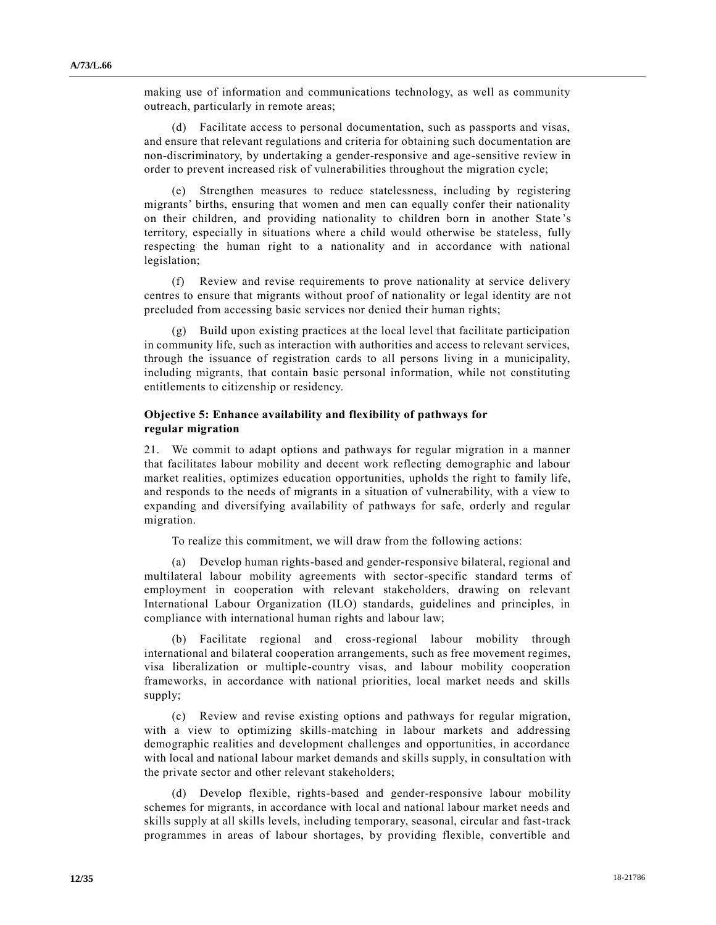making use of information and communications technology, as well as community outreach, particularly in remote areas;

(d) Facilitate access to personal documentation, such as passports and visas, and ensure that relevant regulations and criteria for obtaining such documentation are non-discriminatory, by undertaking a gender-responsive and age-sensitive review in order to prevent increased risk of vulnerabilities throughout the migration cycle;

(e) Strengthen measures to reduce statelessness, including by registering migrants' births, ensuring that women and men can equally confer their nationality on their children, and providing nationality to children born in another State 's territory, especially in situations where a child would otherwise be stateless, fully respecting the human right to a nationality and in accordance with national legislation;

(f) Review and revise requirements to prove nationality at service delivery centres to ensure that migrants without proof of nationality or legal identity are not precluded from accessing basic services nor denied their human rights;

(g) Build upon existing practices at the local level that facilitate participation in community life, such as interaction with authorities and access to relevant services, through the issuance of registration cards to all persons living in a municipality, including migrants, that contain basic personal information, while not constituting entitlements to citizenship or residency.

### **Objective 5: Enhance availability and flexibility of pathways for regular migration**

21. We commit to adapt options and pathways for regular migration in a manner that facilitates labour mobility and decent work reflecting demographic and labour market realities, optimizes education opportunities, upholds the right to family life, and responds to the needs of migrants in a situation of vulnerability, with a view to expanding and diversifying availability of pathways for safe, orderly and regular migration.

To realize this commitment, we will draw from the following actions:

(a) Develop human rights-based and gender-responsive bilateral, regional and multilateral labour mobility agreements with sector-specific standard terms of employment in cooperation with relevant stakeholders, drawing on relevant International Labour Organization (ILO) standards, guidelines and principles, in compliance with international human rights and labour law;

(b) Facilitate regional and cross-regional labour mobility through international and bilateral cooperation arrangements, such as free movement regimes, visa liberalization or multiple-country visas, and labour mobility cooperation frameworks, in accordance with national priorities, local market needs and skills supply;

(c) Review and revise existing options and pathways for regular migration, with a view to optimizing skills-matching in labour markets and addressing demographic realities and development challenges and opportunities, in accordance with local and national labour market demands and skills supply, in consultation with the private sector and other relevant stakeholders;

(d) Develop flexible, rights-based and gender-responsive labour mobility schemes for migrants, in accordance with local and national labour market needs and skills supply at all skills levels, including temporary, seasonal, circular and fast-track programmes in areas of labour shortages, by providing flexible, convertible and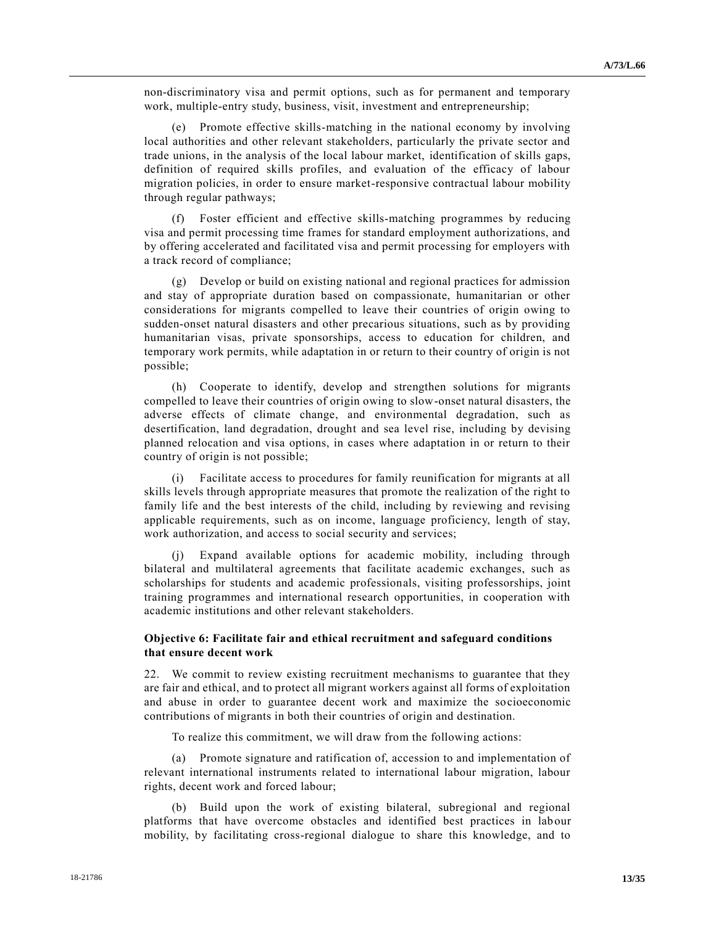non-discriminatory visa and permit options, such as for permanent and temporary work, multiple-entry study, business, visit, investment and entrepreneurship;

(e) Promote effective skills-matching in the national economy by involving local authorities and other relevant stakeholders, particularly the private sector and trade unions, in the analysis of the local labour market, identification of skills gaps, definition of required skills profiles, and evaluation of the efficacy of labour migration policies, in order to ensure market-responsive contractual labour mobility through regular pathways;

(f) Foster efficient and effective skills-matching programmes by reducing visa and permit processing time frames for standard employment authorizations, and by offering accelerated and facilitated visa and permit processing for employers with a track record of compliance;

(g) Develop or build on existing national and regional practices for admission and stay of appropriate duration based on compassionate, humanitarian or other considerations for migrants compelled to leave their countries of origin owing to sudden-onset natural disasters and other precarious situations, such as by providing humanitarian visas, private sponsorships, access to education for children, and temporary work permits, while adaptation in or return to their country of origin is not possible;

(h) Cooperate to identify, develop and strengthen solutions for migrants compelled to leave their countries of origin owing to slow-onset natural disasters, the adverse effects of climate change, and environmental degradation, such as desertification, land degradation, drought and sea level rise, including by devising planned relocation and visa options, in cases where adaptation in or return to their country of origin is not possible;

(i) Facilitate access to procedures for family reunification for migrants at all skills levels through appropriate measures that promote the realization of the right to family life and the best interests of the child, including by reviewing and revising applicable requirements, such as on income, language proficiency, length of stay, work authorization, and access to social security and services;

(j) Expand available options for academic mobility, including through bilateral and multilateral agreements that facilitate academic exchanges, such as scholarships for students and academic professionals, visiting professorships, joint training programmes and international research opportunities, in cooperation with academic institutions and other relevant stakeholders.

### **Objective 6: Facilitate fair and ethical recruitment and safeguard conditions that ensure decent work**

22. We commit to review existing recruitment mechanisms to guarantee that they are fair and ethical, and to protect all migrant workers against all forms of exploitation and abuse in order to guarantee decent work and maximize the socioeconomic contributions of migrants in both their countries of origin and destination.

To realize this commitment, we will draw from the following actions:

(a) Promote signature and ratification of, accession to and implementation of relevant international instruments related to international labour migration, labour rights, decent work and forced labour;

(b) Build upon the work of existing bilateral, subregional and regional platforms that have overcome obstacles and identified best practices in labour mobility, by facilitating cross-regional dialogue to share this knowledge, and to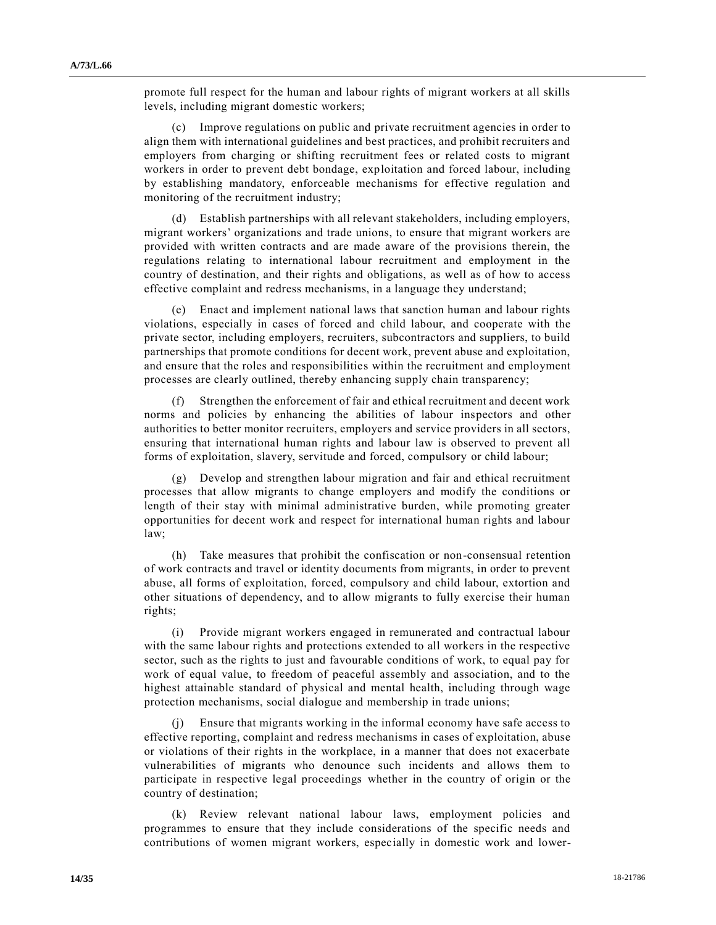promote full respect for the human and labour rights of migrant workers at all skills levels, including migrant domestic workers;

(c) Improve regulations on public and private recruitment agencies in order to align them with international guidelines and best practices, and prohibit recruiters and employers from charging or shifting recruitment fees or related costs to migrant workers in order to prevent debt bondage, exploitation and forced labour, including by establishing mandatory, enforceable mechanisms for effective regulation and monitoring of the recruitment industry;

(d) Establish partnerships with all relevant stakeholders, including employers, migrant workers' organizations and trade unions, to ensure that migrant workers are provided with written contracts and are made aware of the provisions therein, the regulations relating to international labour recruitment and employment in the country of destination, and their rights and obligations, as well as of how to access effective complaint and redress mechanisms, in a language they understand;

(e) Enact and implement national laws that sanction human and labour rights violations, especially in cases of forced and child labour, and cooperate with the private sector, including employers, recruiters, subcontractors and suppliers, to build partnerships that promote conditions for decent work, prevent abuse and exploitation, and ensure that the roles and responsibilities within the recruitment and employment processes are clearly outlined, thereby enhancing supply chain transparency;

(f) Strengthen the enforcement of fair and ethical recruitment and decent work norms and policies by enhancing the abilities of labour inspectors and other authorities to better monitor recruiters, employers and service providers in all sectors, ensuring that international human rights and labour law is observed to prevent all forms of exploitation, slavery, servitude and forced, compulsory or child labour;

(g) Develop and strengthen labour migration and fair and ethical recruitment processes that allow migrants to change employers and modify the conditions or length of their stay with minimal administrative burden, while promoting greater opportunities for decent work and respect for international human rights and labour law;

(h) Take measures that prohibit the confiscation or non-consensual retention of work contracts and travel or identity documents from migrants, in order to prevent abuse, all forms of exploitation, forced, compulsory and child labour, extortion and other situations of dependency, and to allow migrants to fully exercise their human rights;

(i) Provide migrant workers engaged in remunerated and contractual labour with the same labour rights and protections extended to all workers in the respective sector, such as the rights to just and favourable conditions of work, to equal pay for work of equal value, to freedom of peaceful assembly and association, and to the highest attainable standard of physical and mental health, including through wage protection mechanisms, social dialogue and membership in trade unions;

(j) Ensure that migrants working in the informal economy have safe access to effective reporting, complaint and redress mechanisms in cases of exploitation, abuse or violations of their rights in the workplace, in a manner that does not exacerbate vulnerabilities of migrants who denounce such incidents and allows them to participate in respective legal proceedings whether in the country of origin or the country of destination;

(k) Review relevant national labour laws, employment policies and programmes to ensure that they include considerations of the specific needs and contributions of women migrant workers, especially in domestic work and lower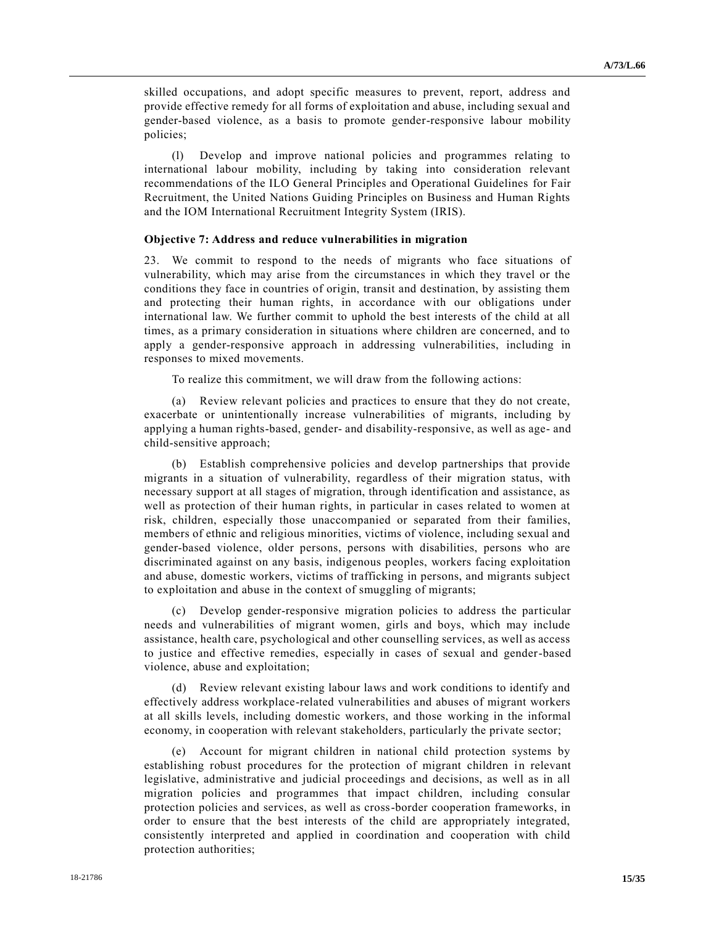skilled occupations, and adopt specific measures to prevent, report, address and provide effective remedy for all forms of exploitation and abuse, including sexual and gender-based violence, as a basis to promote gender-responsive labour mobility policies;

(l) Develop and improve national policies and programmes relating to international labour mobility, including by taking into consideration relevant recommendations of the ILO General Principles and Operational Guidelines for Fair Recruitment, the United Nations Guiding Principles on Business and Human Rights and the IOM International Recruitment Integrity System (IRIS).

#### **Objective 7: Address and reduce vulnerabilities in migration**

23. We commit to respond to the needs of migrants who face situations of vulnerability, which may arise from the circumstances in which they travel or the conditions they face in countries of origin, transit and destination, by assisting them and protecting their human rights, in accordance with our obligations under international law. We further commit to uphold the best interests of the child at all times, as a primary consideration in situations where children are concerned, and to apply a gender-responsive approach in addressing vulnerabilities, including in responses to mixed movements.

To realize this commitment, we will draw from the following actions:

(a) Review relevant policies and practices to ensure that they do not create, exacerbate or unintentionally increase vulnerabilities of migrants, including by applying a human rights-based, gender- and disability-responsive, as well as age- and child-sensitive approach;

(b) Establish comprehensive policies and develop partnerships that provide migrants in a situation of vulnerability, regardless of their migration status, with necessary support at all stages of migration, through identification and assistance, as well as protection of their human rights, in particular in cases related to women at risk, children, especially those unaccompanied or separated from their families, members of ethnic and religious minorities, victims of violence, including sexual and gender-based violence, older persons, persons with disabilities, persons who are discriminated against on any basis, indigenous peoples, workers facing exploitation and abuse, domestic workers, victims of trafficking in persons, and migrants subject to exploitation and abuse in the context of smuggling of migrants;

(c) Develop gender-responsive migration policies to address the particular needs and vulnerabilities of migrant women, girls and boys, which may include assistance, health care, psychological and other counselling services, as well as access to justice and effective remedies, especially in cases of sexual and gender-based violence, abuse and exploitation;

(d) Review relevant existing labour laws and work conditions to identify and effectively address workplace-related vulnerabilities and abuses of migrant workers at all skills levels, including domestic workers, and those working in the informal economy, in cooperation with relevant stakeholders, particularly the private sector;

(e) Account for migrant children in national child protection systems by establishing robust procedures for the protection of migrant children in relevant legislative, administrative and judicial proceedings and decisions, as well as in all migration policies and programmes that impact children, including consular protection policies and services, as well as cross-border cooperation frameworks, in order to ensure that the best interests of the child are appropriately integrated, consistently interpreted and applied in coordination and cooperation with child protection authorities;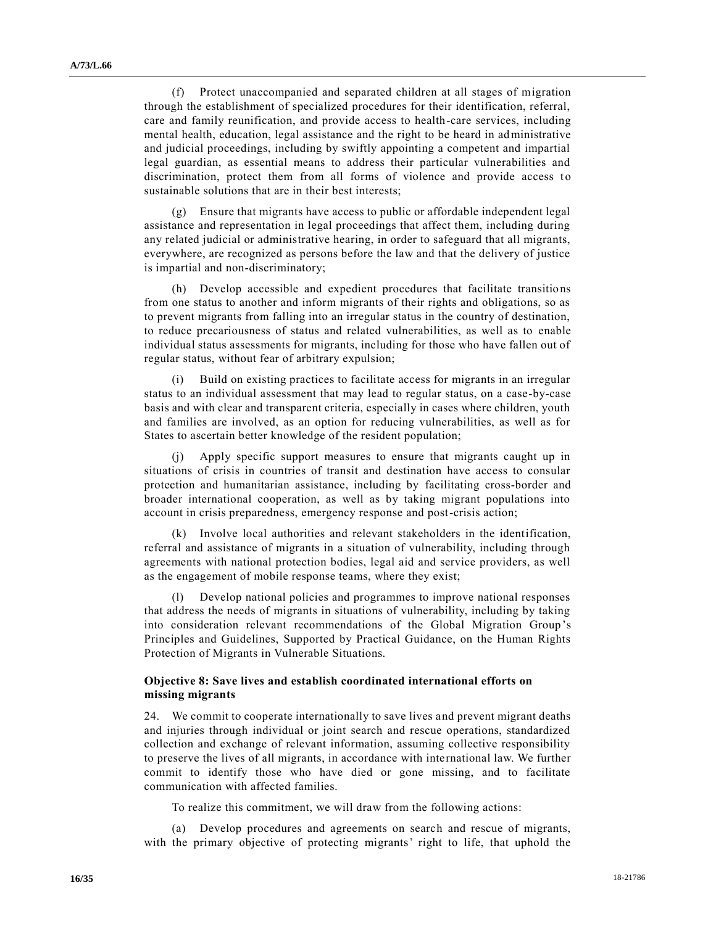(f) Protect unaccompanied and separated children at all stages of migration through the establishment of specialized procedures for their identification, referral, care and family reunification, and provide access to health-care services, including mental health, education, legal assistance and the right to be heard in administrative and judicial proceedings, including by swiftly appointing a competent and impartial legal guardian, as essential means to address their particular vulnerabilities and discrimination, protect them from all forms of violence and provide access to sustainable solutions that are in their best interests;

Ensure that migrants have access to public or affordable independent legal assistance and representation in legal proceedings that affect them, including during any related judicial or administrative hearing, in order to safeguard that all migrants, everywhere, are recognized as persons before the law and that the delivery of justice is impartial and non-discriminatory;

(h) Develop accessible and expedient procedures that facilitate transitions from one status to another and inform migrants of their rights and obligations, so as to prevent migrants from falling into an irregular status in the country of destination, to reduce precariousness of status and related vulnerabilities, as well as to enable individual status assessments for migrants, including for those who have fallen out of regular status, without fear of arbitrary expulsion;

(i) Build on existing practices to facilitate access for migrants in an irregular status to an individual assessment that may lead to regular status, on a case-by-case basis and with clear and transparent criteria, especially in cases where children, youth and families are involved, as an option for reducing vulnerabilities, as well as for States to ascertain better knowledge of the resident population;

(j) Apply specific support measures to ensure that migrants caught up in situations of crisis in countries of transit and destination have access to consular protection and humanitarian assistance, including by facilitating cross-border and broader international cooperation, as well as by taking migrant populations into account in crisis preparedness, emergency response and post-crisis action;

(k) Involve local authorities and relevant stakeholders in the identification, referral and assistance of migrants in a situation of vulnerability, including through agreements with national protection bodies, legal aid and service providers, as well as the engagement of mobile response teams, where they exist;

Develop national policies and programmes to improve national responses that address the needs of migrants in situations of vulnerability, including by taking into consideration relevant recommendations of the Global Migration Group 's Principles and Guidelines, Supported by Practical Guidance, on the Human Rights Protection of Migrants in Vulnerable Situations.

### **Objective 8: Save lives and establish coordinated international efforts on missing migrants**

24. We commit to cooperate internationally to save lives and prevent migrant deaths and injuries through individual or joint search and rescue operations, standardized collection and exchange of relevant information, assuming collective responsibility to preserve the lives of all migrants, in accordance with international law. We further commit to identify those who have died or gone missing, and to facilitate communication with affected families.

To realize this commitment, we will draw from the following actions:

(a) Develop procedures and agreements on search and rescue of migrants, with the primary objective of protecting migrants' right to life, that uphold the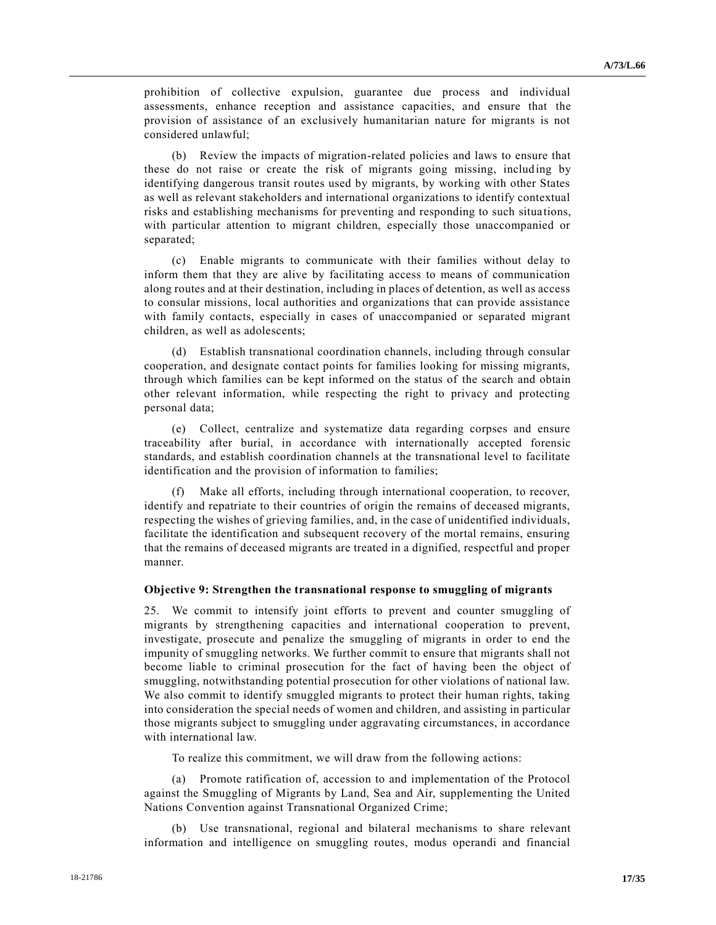prohibition of collective expulsion, guarantee due process and individual assessments, enhance reception and assistance capacities, and ensure that the provision of assistance of an exclusively humanitarian nature for migrants is not considered unlawful;

(b) Review the impacts of migration-related policies and laws to ensure that these do not raise or create the risk of migrants going missing, including by identifying dangerous transit routes used by migrants, by working with other States as well as relevant stakeholders and international organizations to identify contextual risks and establishing mechanisms for preventing and responding to such situa tions, with particular attention to migrant children, especially those unaccompanied or separated;

(c) Enable migrants to communicate with their families without delay to inform them that they are alive by facilitating access to means of communication along routes and at their destination, including in places of detention, as well as access to consular missions, local authorities and organizations that can provide assistance with family contacts, especially in cases of unaccompanied or separated migrant children, as well as adolescents;

(d) Establish transnational coordination channels, including through consular cooperation, and designate contact points for families looking for missing migrants, through which families can be kept informed on the status of the search and obtain other relevant information, while respecting the right to privacy and protecting personal data;

(e) Collect, centralize and systematize data regarding corpses and ensure traceability after burial, in accordance with internationally accepted forensic standards, and establish coordination channels at the transnational level to facilitate identification and the provision of information to families;

(f) Make all efforts, including through international cooperation, to recover, identify and repatriate to their countries of origin the remains of deceased migrants, respecting the wishes of grieving families, and, in the case of unidentified individuals, facilitate the identification and subsequent recovery of the mortal remains, ensuring that the remains of deceased migrants are treated in a dignified, respectful and proper manner.

#### **Objective 9: Strengthen the transnational response to smuggling of migrants**

25. We commit to intensify joint efforts to prevent and counter smuggling of migrants by strengthening capacities and international cooperation to prevent, investigate, prosecute and penalize the smuggling of migrants in order to end the impunity of smuggling networks. We further commit to ensure that migrants shall not become liable to criminal prosecution for the fact of having been the object of smuggling, notwithstanding potential prosecution for other violations of national law. We also commit to identify smuggled migrants to protect their human rights, taking into consideration the special needs of women and children, and assisting in particular those migrants subject to smuggling under aggravating circumstances, in accordance with international law.

To realize this commitment, we will draw from the following actions:

(a) Promote ratification of, accession to and implementation of the Protocol against the Smuggling of Migrants by Land, Sea and Air, supplementing the United Nations Convention against Transnational Organized Crime;

(b) Use transnational, regional and bilateral mechanisms to share relevant information and intelligence on smuggling routes, modus operandi and financial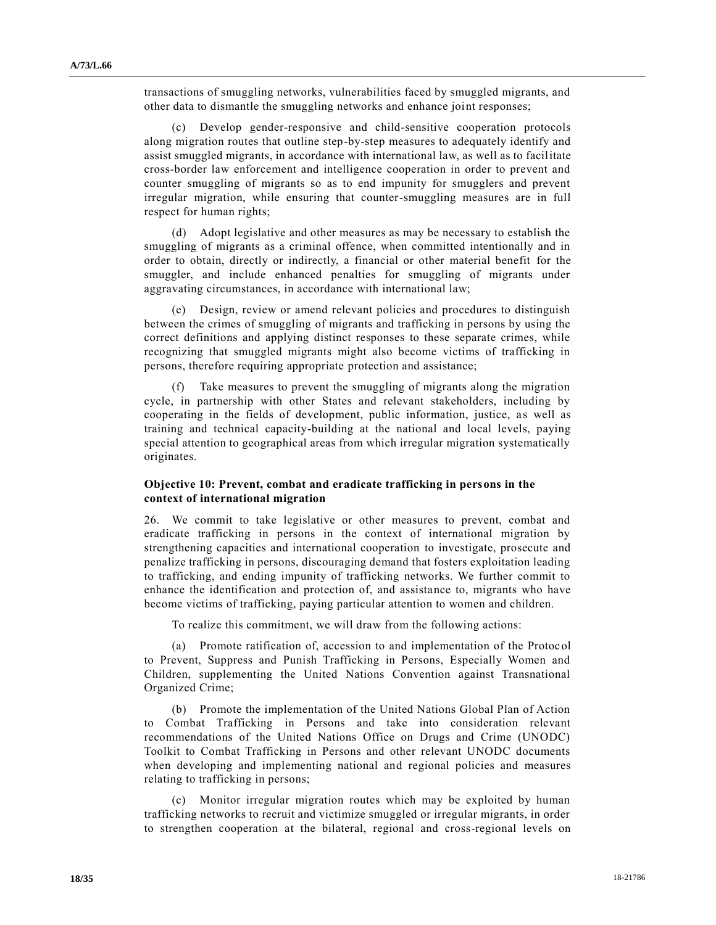transactions of smuggling networks, vulnerabilities faced by smuggled migrants, and other data to dismantle the smuggling networks and enhance joint responses;

(c) Develop gender-responsive and child-sensitive cooperation protocols along migration routes that outline step-by-step measures to adequately identify and assist smuggled migrants, in accordance with international law, as well as to facilitate cross-border law enforcement and intelligence cooperation in order to prevent and counter smuggling of migrants so as to end impunity for smugglers and prevent irregular migration, while ensuring that counter-smuggling measures are in full respect for human rights;

(d) Adopt legislative and other measures as may be necessary to establish the smuggling of migrants as a criminal offence, when committed intentionally and in order to obtain, directly or indirectly, a financial or other material benefit for the smuggler, and include enhanced penalties for smuggling of migrants under aggravating circumstances, in accordance with international law;

(e) Design, review or amend relevant policies and procedures to distinguish between the crimes of smuggling of migrants and trafficking in persons by using the correct definitions and applying distinct responses to these separate crimes, while recognizing that smuggled migrants might also become victims of trafficking in persons, therefore requiring appropriate protection and assistance;

(f) Take measures to prevent the smuggling of migrants along the migration cycle, in partnership with other States and relevant stakeholders, including by cooperating in the fields of development, public information, justice, as well as training and technical capacity-building at the national and local levels, paying special attention to geographical areas from which irregular migration systematically originates.

#### **Objective 10: Prevent, combat and eradicate trafficking in persons in the context of international migration**

26. We commit to take legislative or other measures to prevent, combat and eradicate trafficking in persons in the context of international migration by strengthening capacities and international cooperation to investigate, prosecute and penalize trafficking in persons, discouraging demand that fosters exploitation leading to trafficking, and ending impunity of trafficking networks. We further commit to enhance the identification and protection of, and assistance to, migrants who have become victims of trafficking, paying particular attention to women and children.

To realize this commitment, we will draw from the following actions:

(a) Promote ratification of, accession to and implementation of the Protocol to Prevent, Suppress and Punish Trafficking in Persons, Especially Women and Children, supplementing the United Nations Convention against Transnational Organized Crime;

(b) Promote the implementation of the United Nations Global Plan of Action to Combat Trafficking in Persons and take into consideration relevant recommendations of the United Nations Office on Drugs and Crime (UNODC) Toolkit to Combat Trafficking in Persons and other relevant UNODC documents when developing and implementing national and regional policies and measures relating to trafficking in persons;

(c) Monitor irregular migration routes which may be exploited by human trafficking networks to recruit and victimize smuggled or irregular migrants, in order to strengthen cooperation at the bilateral, regional and cross-regional levels on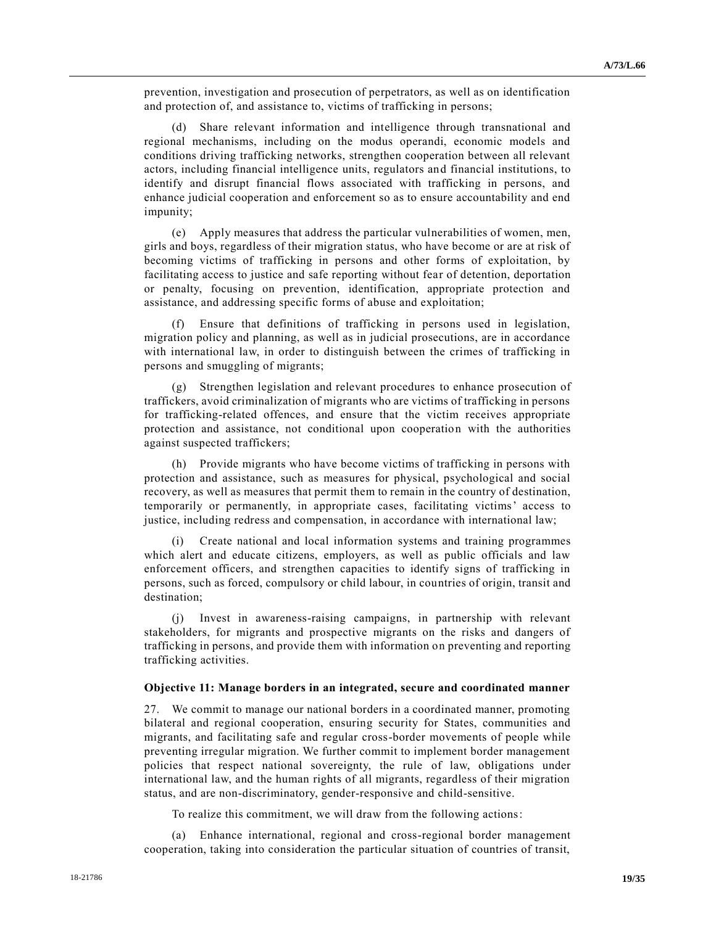prevention, investigation and prosecution of perpetrators, as well as on identification and protection of, and assistance to, victims of trafficking in persons;

(d) Share relevant information and intelligence through transnational and regional mechanisms, including on the modus operandi, economic models and conditions driving trafficking networks, strengthen cooperation between all relevant actors, including financial intelligence units, regulators and financial institutions, to identify and disrupt financial flows associated with trafficking in persons, and enhance judicial cooperation and enforcement so as to ensure accountability and end impunity;

(e) Apply measures that address the particular vulnerabilities of women, men, girls and boys, regardless of their migration status, who have become or are at risk of becoming victims of trafficking in persons and other forms of exploitation, by facilitating access to justice and safe reporting without fear of detention, deportation or penalty, focusing on prevention, identification, appropriate protection and assistance, and addressing specific forms of abuse and exploitation;

(f) Ensure that definitions of trafficking in persons used in legislation, migration policy and planning, as well as in judicial prosecutions, are in accordance with international law, in order to distinguish between the crimes of trafficking in persons and smuggling of migrants;

(g) Strengthen legislation and relevant procedures to enhance prosecution of traffickers, avoid criminalization of migrants who are victims of trafficking in persons for trafficking-related offences, and ensure that the victim receives appropriate protection and assistance, not conditional upon cooperation with the authorities against suspected traffickers;

(h) Provide migrants who have become victims of trafficking in persons with protection and assistance, such as measures for physical, psychological and social recovery, as well as measures that permit them to remain in the country of destination, temporarily or permanently, in appropriate cases, facilitating victims' access to justice, including redress and compensation, in accordance with international law;

(i) Create national and local information systems and training programmes which alert and educate citizens, employers, as well as public officials and law enforcement officers, and strengthen capacities to identify signs of trafficking in persons, such as forced, compulsory or child labour, in countries of origin, transit and destination;

(j) Invest in awareness-raising campaigns, in partnership with relevant stakeholders, for migrants and prospective migrants on the risks and dangers of trafficking in persons, and provide them with information on preventing and reporting trafficking activities.

#### **Objective 11: Manage borders in an integrated, secure and coordinated manner**

27. We commit to manage our national borders in a coordinated manner, promoting bilateral and regional cooperation, ensuring security for States, communities and migrants, and facilitating safe and regular cross-border movements of people while preventing irregular migration. We further commit to implement border management policies that respect national sovereignty, the rule of law, obligations under international law, and the human rights of all migrants, regardless of their migration status, and are non-discriminatory, gender-responsive and child-sensitive.

To realize this commitment, we will draw from the following actions:

(a) Enhance international, regional and cross-regional border management cooperation, taking into consideration the particular situation of countries of transit,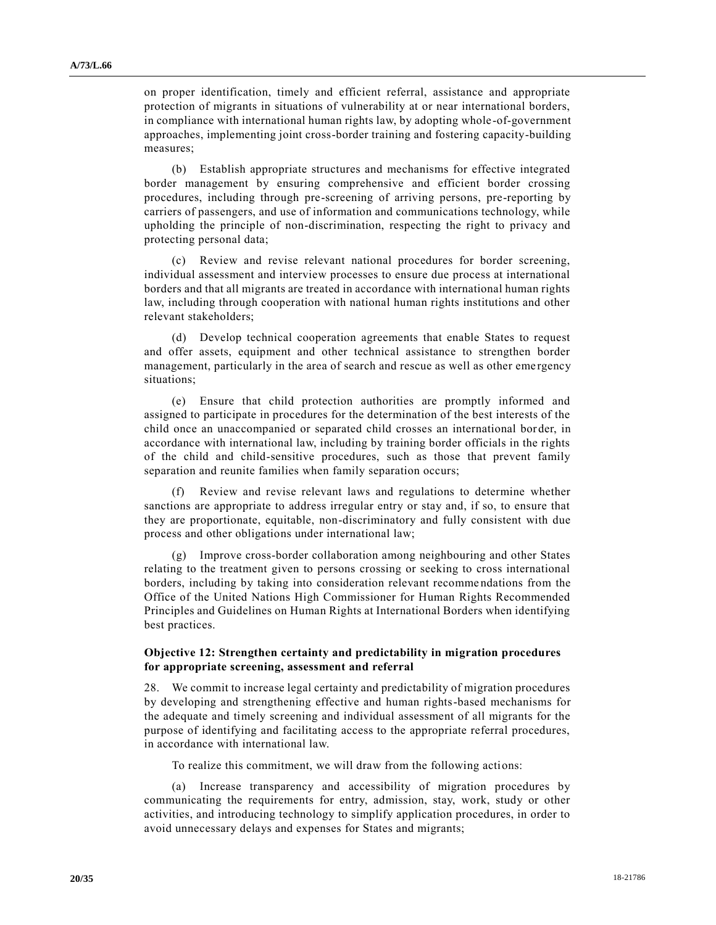on proper identification, timely and efficient referral, assistance and appropriate protection of migrants in situations of vulnerability at or near international borders, in compliance with international human rights law, by adopting whole-of-government approaches, implementing joint cross-border training and fostering capacity-building measures;

(b) Establish appropriate structures and mechanisms for effective integrated border management by ensuring comprehensive and efficient border crossing procedures, including through pre-screening of arriving persons, pre-reporting by carriers of passengers, and use of information and communications technology, while upholding the principle of non-discrimination, respecting the right to privacy and protecting personal data;

(c) Review and revise relevant national procedures for border screening, individual assessment and interview processes to ensure due process at international borders and that all migrants are treated in accordance with international human rights law, including through cooperation with national human rights institutions and other relevant stakeholders;

(d) Develop technical cooperation agreements that enable States to request and offer assets, equipment and other technical assistance to strengthen border management, particularly in the area of search and rescue as well as other eme rgency situations;

(e) Ensure that child protection authorities are promptly informed and assigned to participate in procedures for the determination of the best interests of the child once an unaccompanied or separated child crosses an international bor der, in accordance with international law, including by training border officials in the rights of the child and child-sensitive procedures, such as those that prevent family separation and reunite families when family separation occurs;

(f) Review and revise relevant laws and regulations to determine whether sanctions are appropriate to address irregular entry or stay and, if so, to ensure that they are proportionate, equitable, non-discriminatory and fully consistent with due process and other obligations under international law;

(g) Improve cross-border collaboration among neighbouring and other States relating to the treatment given to persons crossing or seeking to cross international borders, including by taking into consideration relevant recomme ndations from the Office of the United Nations High Commissioner for Human Rights Recommended Principles and Guidelines on Human Rights at International Borders when identifying best practices.

### **Objective 12: Strengthen certainty and predictability in migration procedures for appropriate screening, assessment and referral**

28. We commit to increase legal certainty and predictability of migration procedures by developing and strengthening effective and human rights-based mechanisms for the adequate and timely screening and individual assessment of all migrants for the purpose of identifying and facilitating access to the appropriate referral procedures, in accordance with international law.

To realize this commitment, we will draw from the following actions:

(a) Increase transparency and accessibility of migration procedures by communicating the requirements for entry, admission, stay, work, study or other activities, and introducing technology to simplify application procedures, in order to avoid unnecessary delays and expenses for States and migrants;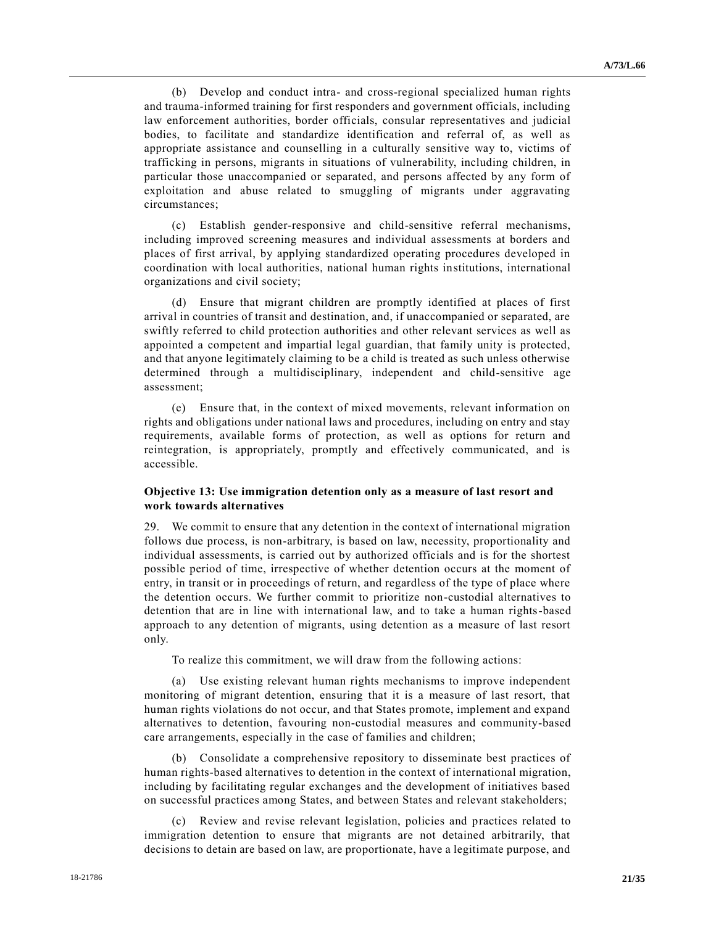(b) Develop and conduct intra- and cross-regional specialized human rights and trauma-informed training for first responders and government officials, including law enforcement authorities, border officials, consular representatives and judicial bodies, to facilitate and standardize identification and referral of, as well as appropriate assistance and counselling in a culturally sensitive way to, victims of trafficking in persons, migrants in situations of vulnerability, including children, in particular those unaccompanied or separated, and persons affected by any form of exploitation and abuse related to smuggling of migrants under aggravating circumstances;

(c) Establish gender-responsive and child-sensitive referral mechanisms, including improved screening measures and individual assessments at borders and places of first arrival, by applying standardized operating procedures developed in coordination with local authorities, national human rights institutions, international organizations and civil society;

(d) Ensure that migrant children are promptly identified at places of first arrival in countries of transit and destination, and, if unaccompanied or separated, are swiftly referred to child protection authorities and other relevant services as well as appointed a competent and impartial legal guardian, that family unity is protected, and that anyone legitimately claiming to be a child is treated as such unless otherwise determined through a multidisciplinary, independent and child-sensitive age assessment;

(e) Ensure that, in the context of mixed movements, relevant information on rights and obligations under national laws and procedures, including on entry and stay requirements, available forms of protection, as well as options for return and reintegration, is appropriately, promptly and effectively communicated, and is accessible.

### **Objective 13: Use immigration detention only as a measure of last resort and work towards alternatives**

29. We commit to ensure that any detention in the context of international migration follows due process, is non-arbitrary, is based on law, necessity, proportionality and individual assessments, is carried out by authorized officials and is for the shortest possible period of time, irrespective of whether detention occurs at the moment of entry, in transit or in proceedings of return, and regardless of the type of place where the detention occurs. We further commit to prioritize non-custodial alternatives to detention that are in line with international law, and to take a human rights-based approach to any detention of migrants, using detention as a measure of last resort only.

To realize this commitment, we will draw from the following actions:

(a) Use existing relevant human rights mechanisms to improve independent monitoring of migrant detention, ensuring that it is a measure of last resort, that human rights violations do not occur, and that States promote, implement and expand alternatives to detention, favouring non-custodial measures and community-based care arrangements, especially in the case of families and children;

(b) Consolidate a comprehensive repository to disseminate best practices of human rights-based alternatives to detention in the context of international migration, including by facilitating regular exchanges and the development of initiatives based on successful practices among States, and between States and relevant stakeholders;

(c) Review and revise relevant legislation, policies and practices related to immigration detention to ensure that migrants are not detained arbitrarily, that decisions to detain are based on law, are proportionate, have a legitimate purpose, and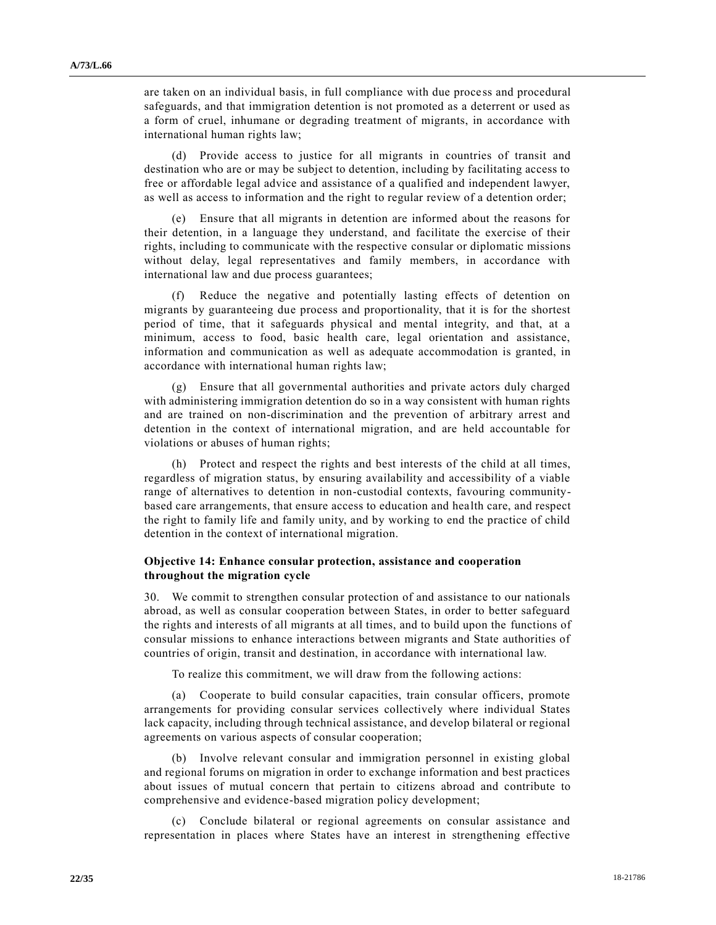are taken on an individual basis, in full compliance with due process and procedural safeguards, and that immigration detention is not promoted as a deterrent or used as a form of cruel, inhumane or degrading treatment of migrants, in accordance with international human rights law;

(d) Provide access to justice for all migrants in countries of transit and destination who are or may be subject to detention, including by facilitating access to free or affordable legal advice and assistance of a qualified and independent lawyer, as well as access to information and the right to regular review of a detention order;

(e) Ensure that all migrants in detention are informed about the reasons for their detention, in a language they understand, and facilitate the exercise of their rights, including to communicate with the respective consular or diplomatic missions without delay, legal representatives and family members, in accordance with international law and due process guarantees;

(f) Reduce the negative and potentially lasting effects of detention on migrants by guaranteeing due process and proportionality, that it is for the shortest period of time, that it safeguards physical and mental integrity, and that, at a minimum, access to food, basic health care, legal orientation and assistance, information and communication as well as adequate accommodation is granted, in accordance with international human rights law;

(g) Ensure that all governmental authorities and private actors duly charged with administering immigration detention do so in a way consistent with human rights and are trained on non-discrimination and the prevention of arbitrary arrest and detention in the context of international migration, and are held accountable for violations or abuses of human rights;

(h) Protect and respect the rights and best interests of the child at all times, regardless of migration status, by ensuring availability and accessibility of a viable range of alternatives to detention in non-custodial contexts, favouring communitybased care arrangements, that ensure access to education and health care, and respect the right to family life and family unity, and by working to end the practice of child detention in the context of international migration.

### **Objective 14: Enhance consular protection, assistance and cooperation throughout the migration cycle**

30. We commit to strengthen consular protection of and assistance to our nationals abroad, as well as consular cooperation between States, in order to better safeguard the rights and interests of all migrants at all times, and to build upon the functions of consular missions to enhance interactions between migrants and State authorities of countries of origin, transit and destination, in accordance with international law.

To realize this commitment, we will draw from the following actions:

(a) Cooperate to build consular capacities, train consular officers, promote arrangements for providing consular services collectively where individual States lack capacity, including through technical assistance, and develop bilateral or regional agreements on various aspects of consular cooperation;

(b) Involve relevant consular and immigration personnel in existing global and regional forums on migration in order to exchange information and best practices about issues of mutual concern that pertain to citizens abroad and contribute to comprehensive and evidence-based migration policy development;

(c) Conclude bilateral or regional agreements on consular assistance and representation in places where States have an interest in strengthening effective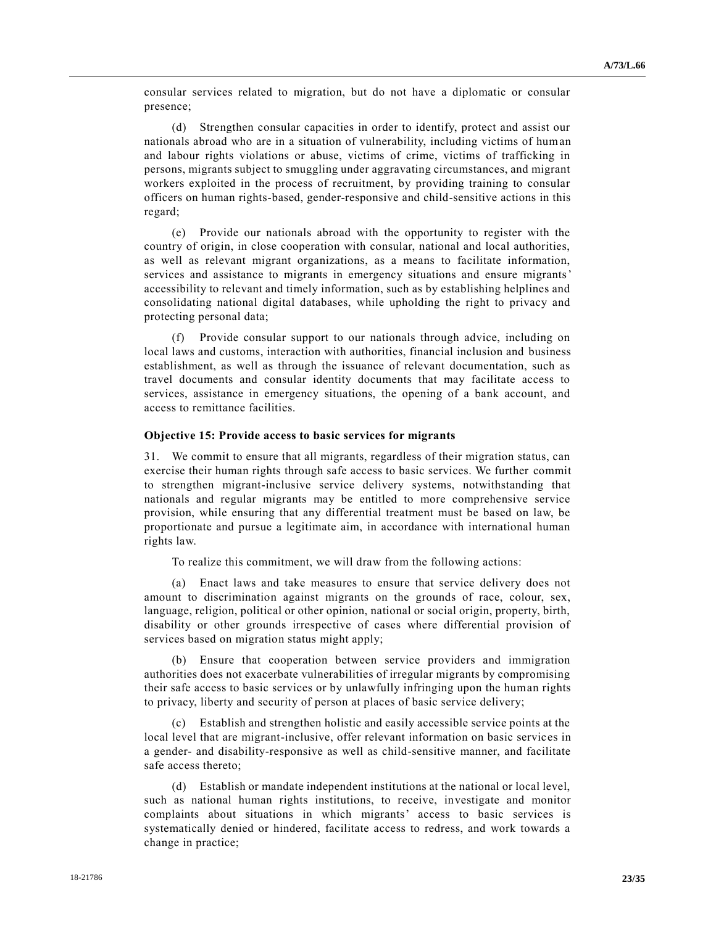consular services related to migration, but do not have a diplomatic or consular presence;

(d) Strengthen consular capacities in order to identify, protect and assist our nationals abroad who are in a situation of vulnerability, including victims of human and labour rights violations or abuse, victims of crime, victims of trafficking in persons, migrants subject to smuggling under aggravating circumstances, and migrant workers exploited in the process of recruitment, by providing training to consular officers on human rights-based, gender-responsive and child-sensitive actions in this regard;

(e) Provide our nationals abroad with the opportunity to register with the country of origin, in close cooperation with consular, national and local authorities, as well as relevant migrant organizations, as a means to facilitate information, services and assistance to migrants in emergency situations and ensure migrants' accessibility to relevant and timely information, such as by establishing helplines and consolidating national digital databases, while upholding the right to privacy and protecting personal data;

(f) Provide consular support to our nationals through advice, including on local laws and customs, interaction with authorities, financial inclusion and business establishment, as well as through the issuance of relevant documentation, such as travel documents and consular identity documents that may facilitate access to services, assistance in emergency situations, the opening of a bank account, and access to remittance facilities.

### **Objective 15: Provide access to basic services for migrants**

31. We commit to ensure that all migrants, regardless of their migration status, can exercise their human rights through safe access to basic services. We further commit to strengthen migrant-inclusive service delivery systems, notwithstanding that nationals and regular migrants may be entitled to more comprehensive service provision, while ensuring that any differential treatment must be based on law, be proportionate and pursue a legitimate aim, in accordance with international human rights law.

To realize this commitment, we will draw from the following actions:

(a) Enact laws and take measures to ensure that service delivery does not amount to discrimination against migrants on the grounds of race, colour, sex, language, religion, political or other opinion, national or social origin, property, birth, disability or other grounds irrespective of cases where differential provision of services based on migration status might apply;

(b) Ensure that cooperation between service providers and immigration authorities does not exacerbate vulnerabilities of irregular migrants by compromising their safe access to basic services or by unlawfully infringing upon the human rights to privacy, liberty and security of person at places of basic service delivery;

(c) Establish and strengthen holistic and easily accessible service points at the local level that are migrant-inclusive, offer relevant information on basic services in a gender- and disability-responsive as well as child-sensitive manner, and facilitate safe access thereto;

(d) Establish or mandate independent institutions at the national or local level, such as national human rights institutions, to receive, investigate and monitor complaints about situations in which migrants' access to basic services is systematically denied or hindered, facilitate access to redress, and work towards a change in practice;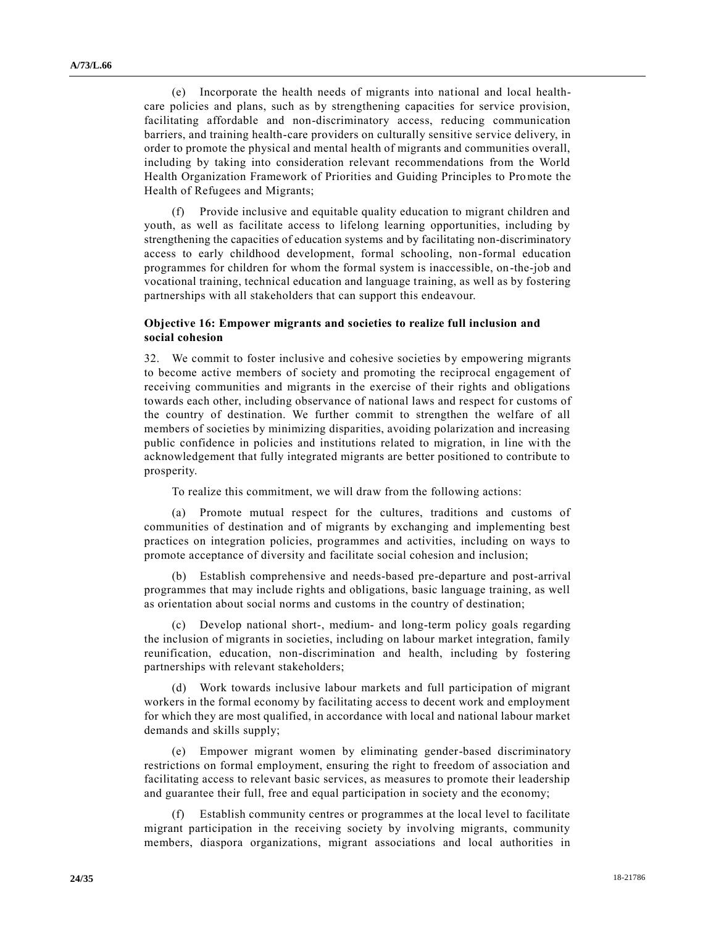(e) Incorporate the health needs of migrants into national and local healthcare policies and plans, such as by strengthening capacities for service provision, facilitating affordable and non-discriminatory access, reducing communication barriers, and training health-care providers on culturally sensitive service delivery, in order to promote the physical and mental health of migrants and communities overall, including by taking into consideration relevant recommendations from the World Health Organization Framework of Priorities and Guiding Principles to Promote the Health of Refugees and Migrants;

(f) Provide inclusive and equitable quality education to migrant children and youth, as well as facilitate access to lifelong learning opportunities, including by strengthening the capacities of education systems and by facilitating non-discriminatory access to early childhood development, formal schooling, non-formal education programmes for children for whom the formal system is inaccessible, on-the-job and vocational training, technical education and language training, as well as by fostering partnerships with all stakeholders that can support this endeavour.

#### **Objective 16: Empower migrants and societies to realize full inclusion and social cohesion**

32. We commit to foster inclusive and cohesive societies by empowering migrants to become active members of society and promoting the reciprocal engagement of receiving communities and migrants in the exercise of their rights and obligations towards each other, including observance of national laws and respect for customs of the country of destination. We further commit to strengthen the welfare of all members of societies by minimizing disparities, avoiding polarization and increasing public confidence in policies and institutions related to migration, in line with the acknowledgement that fully integrated migrants are better positioned to contribute to prosperity.

To realize this commitment, we will draw from the following actions:

(a) Promote mutual respect for the cultures, traditions and customs of communities of destination and of migrants by exchanging and implementing best practices on integration policies, programmes and activities, including on ways to promote acceptance of diversity and facilitate social cohesion and inclusion;

Establish comprehensive and needs-based pre-departure and post-arrival programmes that may include rights and obligations, basic language training, as well as orientation about social norms and customs in the country of destination;

Develop national short-, medium- and long-term policy goals regarding the inclusion of migrants in societies, including on labour market integration, family reunification, education, non-discrimination and health, including by fostering partnerships with relevant stakeholders;

(d) Work towards inclusive labour markets and full participation of migrant workers in the formal economy by facilitating access to decent work and employment for which they are most qualified, in accordance with local and national labour market demands and skills supply;

(e) Empower migrant women by eliminating gender-based discriminatory restrictions on formal employment, ensuring the right to freedom of association and facilitating access to relevant basic services, as measures to promote their leadership and guarantee their full, free and equal participation in society and the economy;

(f) Establish community centres or programmes at the local level to facilitate migrant participation in the receiving society by involving migrants, community members, diaspora organizations, migrant associations and local authorities in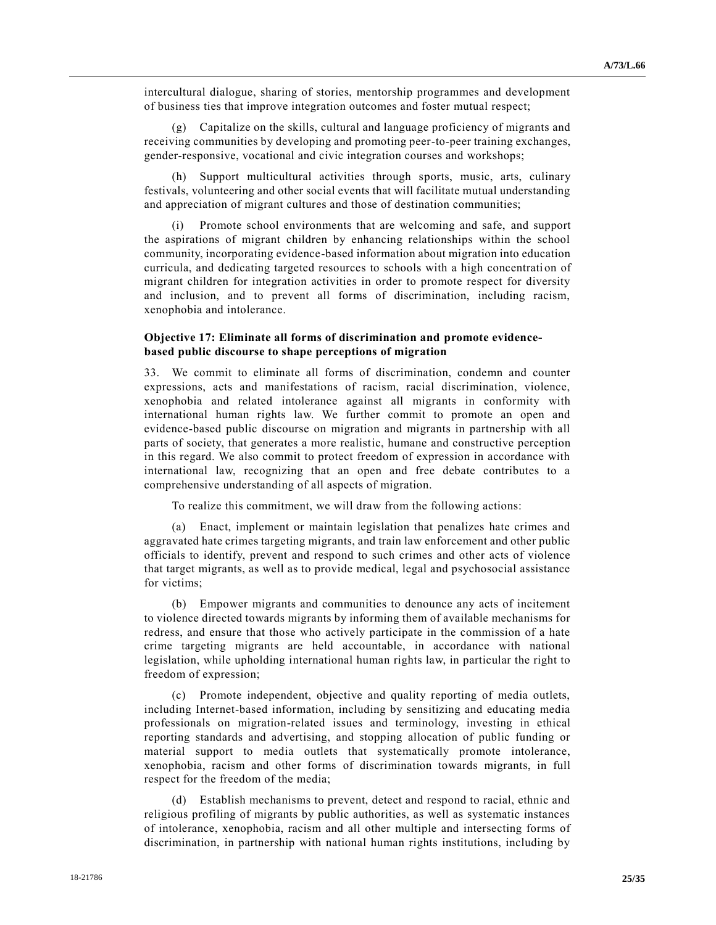intercultural dialogue, sharing of stories, mentorship programmes and development of business ties that improve integration outcomes and foster mutual respect;

(g) Capitalize on the skills, cultural and language proficiency of migrants and receiving communities by developing and promoting peer-to-peer training exchanges, gender-responsive, vocational and civic integration courses and workshops;

(h) Support multicultural activities through sports, music, arts, culinary festivals, volunteering and other social events that will facilitate mutual understanding and appreciation of migrant cultures and those of destination communities;

(i) Promote school environments that are welcoming and safe, and support the aspirations of migrant children by enhancing relationships within the school community, incorporating evidence-based information about migration into education curricula, and dedicating targeted resources to schools with a high concentration of migrant children for integration activities in order to promote respect for diversity and inclusion, and to prevent all forms of discrimination, including racism, xenophobia and intolerance.

#### **Objective 17: Eliminate all forms of discrimination and promote evidencebased public discourse to shape perceptions of migration**

33. We commit to eliminate all forms of discrimination, condemn and counter expressions, acts and manifestations of racism, racial discrimination, violence, xenophobia and related intolerance against all migrants in conformity with international human rights law. We further commit to promote an open and evidence-based public discourse on migration and migrants in partnership with all parts of society, that generates a more realistic, humane and constructive perception in this regard. We also commit to protect freedom of expression in accordance with international law, recognizing that an open and free debate contributes to a comprehensive understanding of all aspects of migration.

To realize this commitment, we will draw from the following actions:

(a) Enact, implement or maintain legislation that penalizes hate crimes and aggravated hate crimes targeting migrants, and train law enforcement and other public officials to identify, prevent and respond to such crimes and other acts of violence that target migrants, as well as to provide medical, legal and psychosocial assistance for victims;

(b) Empower migrants and communities to denounce any acts of incitement to violence directed towards migrants by informing them of available mechanisms for redress, and ensure that those who actively participate in the commission of a hate crime targeting migrants are held accountable, in accordance with national legislation, while upholding international human rights law, in particular the right to freedom of expression;

(c) Promote independent, objective and quality reporting of media outlets, including Internet-based information, including by sensitizing and educating media professionals on migration-related issues and terminology, investing in ethical reporting standards and advertising, and stopping allocation of public funding or material support to media outlets that systematically promote intolerance, xenophobia, racism and other forms of discrimination towards migrants, in full respect for the freedom of the media;

(d) Establish mechanisms to prevent, detect and respond to racial, ethnic and religious profiling of migrants by public authorities, as well as systematic instances of intolerance, xenophobia, racism and all other multiple and intersecting forms of discrimination, in partnership with national human rights institutions, including by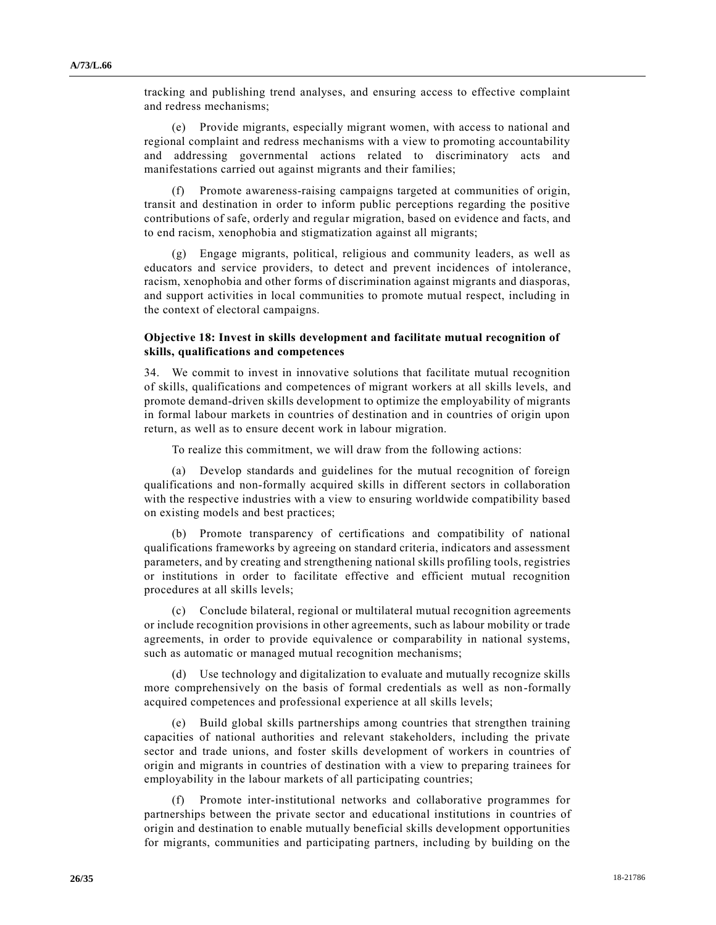tracking and publishing trend analyses, and ensuring access to effective complaint and redress mechanisms;

(e) Provide migrants, especially migrant women, with access to national and regional complaint and redress mechanisms with a view to promoting accountability and addressing governmental actions related to discriminatory acts and manifestations carried out against migrants and their families;

(f) Promote awareness-raising campaigns targeted at communities of origin, transit and destination in order to inform public perceptions regarding the positive contributions of safe, orderly and regular migration, based on evidence and facts, and to end racism, xenophobia and stigmatization against all migrants;

(g) Engage migrants, political, religious and community leaders, as well as educators and service providers, to detect and prevent incidences of intolerance, racism, xenophobia and other forms of discrimination against migrants and diasporas, and support activities in local communities to promote mutual respect, including in the context of electoral campaigns.

#### **Objective 18: Invest in skills development and facilitate mutual recognition of skills, qualifications and competences**

34. We commit to invest in innovative solutions that facilitate mutual recognition of skills, qualifications and competences of migrant workers at all skills levels, and promote demand-driven skills development to optimize the employability of migrants in formal labour markets in countries of destination and in countries of origin upon return, as well as to ensure decent work in labour migration.

To realize this commitment, we will draw from the following actions:

(a) Develop standards and guidelines for the mutual recognition of foreign qualifications and non-formally acquired skills in different sectors in collaboration with the respective industries with a view to ensuring worldwide compatibility based on existing models and best practices;

(b) Promote transparency of certifications and compatibility of national qualifications frameworks by agreeing on standard criteria, indicators and assessment parameters, and by creating and strengthening national skills profiling tools, registries or institutions in order to facilitate effective and efficient mutual recognition procedures at all skills levels;

(c) Conclude bilateral, regional or multilateral mutual recognition agreements or include recognition provisions in other agreements, such as labour mobility or trade agreements, in order to provide equivalence or comparability in national systems, such as automatic or managed mutual recognition mechanisms;

(d) Use technology and digitalization to evaluate and mutually recognize skills more comprehensively on the basis of formal credentials as well as non-formally acquired competences and professional experience at all skills levels;

(e) Build global skills partnerships among countries that strengthen training capacities of national authorities and relevant stakeholders, including the private sector and trade unions, and foster skills development of workers in countries of origin and migrants in countries of destination with a view to preparing trainees for employability in the labour markets of all participating countries;

(f) Promote inter-institutional networks and collaborative programmes for partnerships between the private sector and educational institutions in countries of origin and destination to enable mutually beneficial skills development opportunities for migrants, communities and participating partners, including by building on the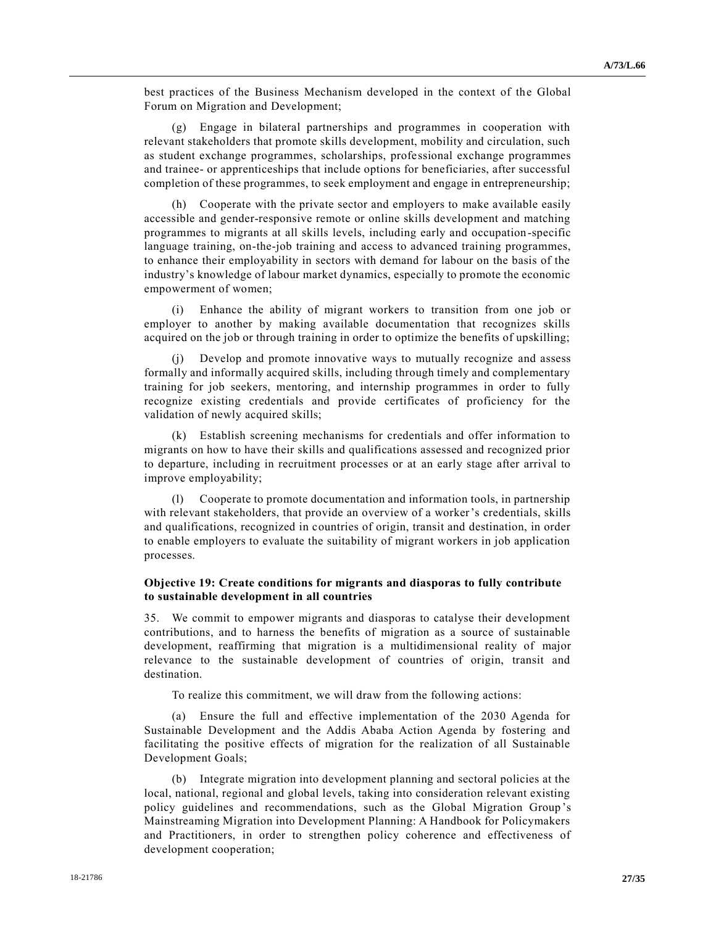best practices of the Business Mechanism developed in the context of the Global Forum on Migration and Development;

(g) Engage in bilateral partnerships and programmes in cooperation with relevant stakeholders that promote skills development, mobility and circulation, such as student exchange programmes, scholarships, professional exchange programmes and trainee- or apprenticeships that include options for beneficiaries, after successful completion of these programmes, to seek employment and engage in entrepreneurship;

(h) Cooperate with the private sector and employers to make available easily accessible and gender-responsive remote or online skills development and matching programmes to migrants at all skills levels, including early and occupation-specific language training, on-the-job training and access to advanced training programmes, to enhance their employability in sectors with demand for labour on the basis of the industry's knowledge of labour market dynamics, especially to promote the economic empowerment of women;

(i) Enhance the ability of migrant workers to transition from one job or employer to another by making available documentation that recognizes skills acquired on the job or through training in order to optimize the benefits of upskilling;

(j) Develop and promote innovative ways to mutually recognize and assess formally and informally acquired skills, including through timely and complementary training for job seekers, mentoring, and internship programmes in order to fully recognize existing credentials and provide certificates of proficiency for the validation of newly acquired skills;

(k) Establish screening mechanisms for credentials and offer information to migrants on how to have their skills and qualifications assessed and recognized prior to departure, including in recruitment processes or at an early stage after arrival to improve employability;

(l) Cooperate to promote documentation and information tools, in partnership with relevant stakeholders, that provide an overview of a worker's credentials, skills and qualifications, recognized in countries of origin, transit and destination, in order to enable employers to evaluate the suitability of migrant workers in job application processes.

### **Objective 19: Create conditions for migrants and diasporas to fully contribute to sustainable development in all countries**

35. We commit to empower migrants and diasporas to catalyse their development contributions, and to harness the benefits of migration as a source of sustainable development, reaffirming that migration is a multidimensional reality of major relevance to the sustainable development of countries of origin, transit and destination.

To realize this commitment, we will draw from the following actions:

(a) Ensure the full and effective implementation of the 2030 Agenda for Sustainable Development and the Addis Ababa Action Agenda by fostering and facilitating the positive effects of migration for the realization of all Sustainable Development Goals;

(b) Integrate migration into development planning and sectoral policies at the local, national, regional and global levels, taking into consideration relevant existing policy guidelines and recommendations, such as the Global Migration Group 's Mainstreaming Migration into Development Planning: A Handbook for Policymakers and Practitioners, in order to strengthen policy coherence and effectiveness of development cooperation;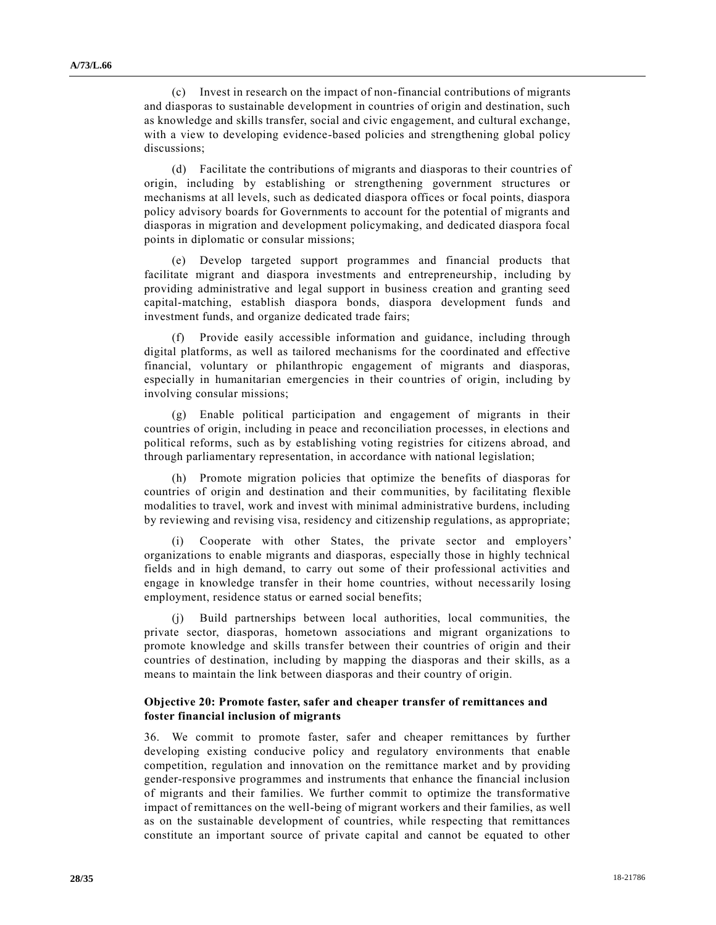(c) Invest in research on the impact of non-financial contributions of migrants and diasporas to sustainable development in countries of origin and destination, such as knowledge and skills transfer, social and civic engagement, and cultural exchange, with a view to developing evidence-based policies and strengthening global policy discussions;

(d) Facilitate the contributions of migrants and diasporas to their countries of origin, including by establishing or strengthening government structures or mechanisms at all levels, such as dedicated diaspora offices or focal points, diaspora policy advisory boards for Governments to account for the potential of migrants and diasporas in migration and development policymaking, and dedicated diaspora focal points in diplomatic or consular missions;

(e) Develop targeted support programmes and financial products that facilitate migrant and diaspora investments and entrepreneurship, including by providing administrative and legal support in business creation and granting seed capital-matching, establish diaspora bonds, diaspora development funds and investment funds, and organize dedicated trade fairs;

Provide easily accessible information and guidance, including through digital platforms, as well as tailored mechanisms for the coordinated and effective financial, voluntary or philanthropic engagement of migrants and diasporas, especially in humanitarian emergencies in their countries of origin, including by involving consular missions;

(g) Enable political participation and engagement of migrants in their countries of origin, including in peace and reconciliation processes, in elections and political reforms, such as by establishing voting registries for citizens abroad, and through parliamentary representation, in accordance with national legislation;

(h) Promote migration policies that optimize the benefits of diasporas for countries of origin and destination and their communities, by facilitating flexible modalities to travel, work and invest with minimal administrative burdens, including by reviewing and revising visa, residency and citizenship regulations, as appropriate;

(i) Cooperate with other States, the private sector and employers' organizations to enable migrants and diasporas, especially those in highly technical fields and in high demand, to carry out some of their professional activities and engage in knowledge transfer in their home countries, without necessarily losing employment, residence status or earned social benefits;

(j) Build partnerships between local authorities, local communities, the private sector, diasporas, hometown associations and migrant organizations to promote knowledge and skills transfer between their countries of origin and their countries of destination, including by mapping the diasporas and their skills, as a means to maintain the link between diasporas and their country of origin.

#### **Objective 20: Promote faster, safer and cheaper transfer of remittances and foster financial inclusion of migrants**

36. We commit to promote faster, safer and cheaper remittances by further developing existing conducive policy and regulatory environments that enable competition, regulation and innovation on the remittance market and by providing gender-responsive programmes and instruments that enhance the financial inclusion of migrants and their families. We further commit to optimize the transformative impact of remittances on the well-being of migrant workers and their families, as well as on the sustainable development of countries, while respecting that remittances constitute an important source of private capital and cannot be equated to other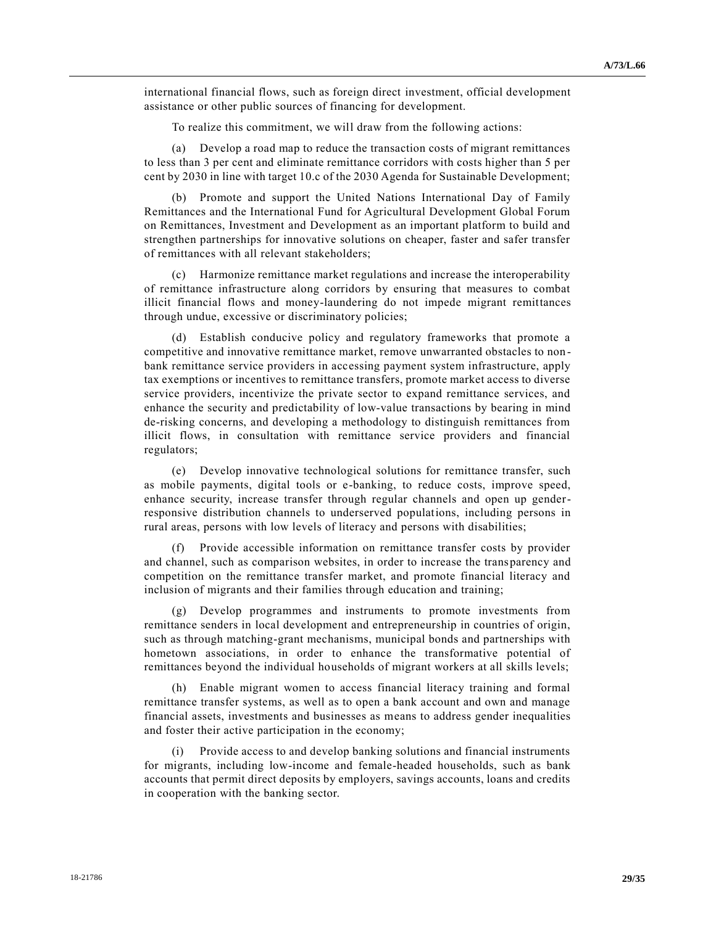international financial flows, such as foreign direct investment, official development assistance or other public sources of financing for development.

To realize this commitment, we will draw from the following actions:

(a) Develop a road map to reduce the transaction costs of migrant remittances to less than 3 per cent and eliminate remittance corridors with costs higher than 5 per cent by 2030 in line with target 10.c of the 2030 Agenda for Sustainable Development;

(b) Promote and support the United Nations International Day of Family Remittances and the International Fund for Agricultural Development Global Forum on Remittances, Investment and Development as an important platform to build and strengthen partnerships for innovative solutions on cheaper, faster and safer transfer of remittances with all relevant stakeholders;

(c) Harmonize remittance market regulations and increase the interoperability of remittance infrastructure along corridors by ensuring that measures to combat illicit financial flows and money-laundering do not impede migrant remittances through undue, excessive or discriminatory policies;

(d) Establish conducive policy and regulatory frameworks that promote a competitive and innovative remittance market, remove unwarranted obstacles to non bank remittance service providers in accessing payment system infrastructure, apply tax exemptions or incentives to remittance transfers, promote market access to diverse service providers, incentivize the private sector to expand remittance services, and enhance the security and predictability of low-value transactions by bearing in mind de-risking concerns, and developing a methodology to distinguish remittances from illicit flows, in consultation with remittance service providers and financial regulators;

(e) Develop innovative technological solutions for remittance transfer, such as mobile payments, digital tools or e-banking, to reduce costs, improve speed, enhance security, increase transfer through regular channels and open up genderresponsive distribution channels to underserved populations, including persons in rural areas, persons with low levels of literacy and persons with disabilities;

(f) Provide accessible information on remittance transfer costs by provider and channel, such as comparison websites, in order to increase the transparency and competition on the remittance transfer market, and promote financial literacy and inclusion of migrants and their families through education and training;

(g) Develop programmes and instruments to promote investments from remittance senders in local development and entrepreneurship in countries of origin, such as through matching-grant mechanisms, municipal bonds and partnerships with hometown associations, in order to enhance the transformative potential of remittances beyond the individual households of migrant workers at all skills levels;

(h) Enable migrant women to access financial literacy training and formal remittance transfer systems, as well as to open a bank account and own and manage financial assets, investments and businesses as means to address gender inequalities and foster their active participation in the economy;

Provide access to and develop banking solutions and financial instruments for migrants, including low-income and female-headed households, such as bank accounts that permit direct deposits by employers, savings accounts, loans and credits in cooperation with the banking sector.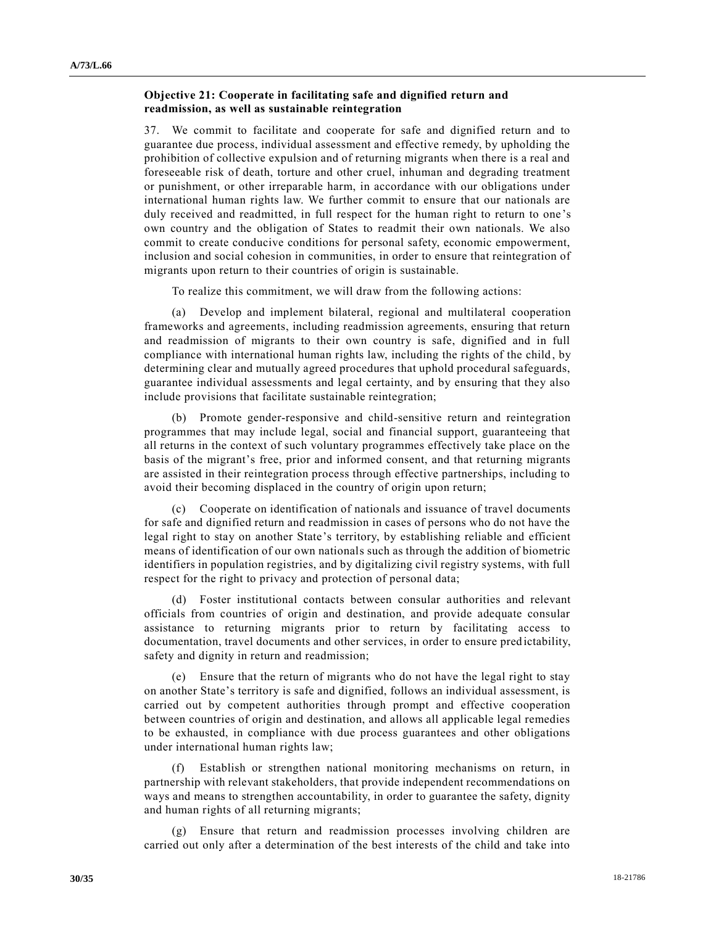### **Objective 21: Cooperate in facilitating safe and dignified return and readmission, as well as sustainable reintegration**

37. We commit to facilitate and cooperate for safe and dignified return and to guarantee due process, individual assessment and effective remedy, by upholding the prohibition of collective expulsion and of returning migrants when there is a real and foreseeable risk of death, torture and other cruel, inhuman and degrading treatment or punishment, or other irreparable harm, in accordance with our obligations under international human rights law. We further commit to ensure that our nationals are duly received and readmitted, in full respect for the human right to return to one 's own country and the obligation of States to readmit their own nationals. We also commit to create conducive conditions for personal safety, economic empowerment, inclusion and social cohesion in communities, in order to ensure that reintegration of migrants upon return to their countries of origin is sustainable.

To realize this commitment, we will draw from the following actions:

(a) Develop and implement bilateral, regional and multilateral cooperation frameworks and agreements, including readmission agreements, ensuring that return and readmission of migrants to their own country is safe, dignified and in full compliance with international human rights law, including the rights of the child , by determining clear and mutually agreed procedures that uphold procedural safeguards, guarantee individual assessments and legal certainty, and by ensuring that they also include provisions that facilitate sustainable reintegration;

(b) Promote gender-responsive and child-sensitive return and reintegration programmes that may include legal, social and financial support, guaranteeing that all returns in the context of such voluntary programmes effectively take place on the basis of the migrant's free, prior and informed consent, and that returning migrants are assisted in their reintegration process through effective partnerships, including to avoid their becoming displaced in the country of origin upon return;

(c) Cooperate on identification of nationals and issuance of travel documents for safe and dignified return and readmission in cases of persons who do not have the legal right to stay on another State's territory, by establishing reliable and efficient means of identification of our own nationals such as through the addition of biometric identifiers in population registries, and by digitalizing civil registry systems, with full respect for the right to privacy and protection of personal data;

(d) Foster institutional contacts between consular authorities and relevant officials from countries of origin and destination, and provide adequate consular assistance to returning migrants prior to return by facilitating access to documentation, travel documents and other services, in order to ensure pred ictability, safety and dignity in return and readmission;

(e) Ensure that the return of migrants who do not have the legal right to stay on another State's territory is safe and dignified, follows an individual assessment, is carried out by competent authorities through prompt and effective cooperation between countries of origin and destination, and allows all applicable legal remedies to be exhausted, in compliance with due process guarantees and other obligations under international human rights law;

(f) Establish or strengthen national monitoring mechanisms on return, in partnership with relevant stakeholders, that provide independent recommendations on ways and means to strengthen accountability, in order to guarantee the safety, dignity and human rights of all returning migrants;

(g) Ensure that return and readmission processes involving children are carried out only after a determination of the best interests of the child and take into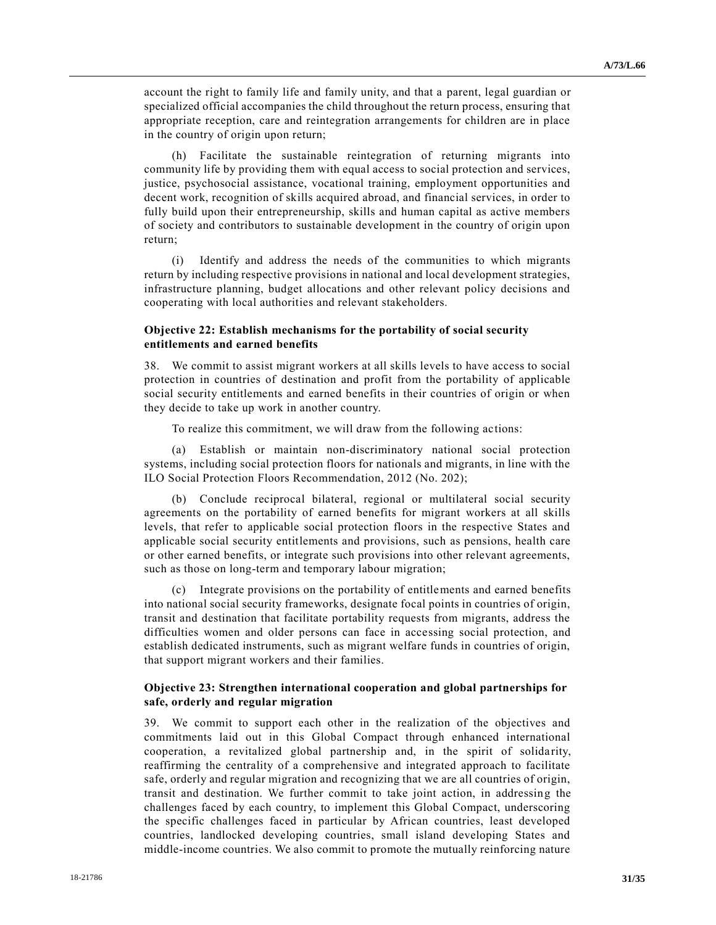account the right to family life and family unity, and that a parent, legal guardian or specialized official accompanies the child throughout the return process, ensuring that appropriate reception, care and reintegration arrangements for children are in place in the country of origin upon return;

(h) Facilitate the sustainable reintegration of returning migrants into community life by providing them with equal access to social protection and services, justice, psychosocial assistance, vocational training, employment opportunities and decent work, recognition of skills acquired abroad, and financial services, in order to fully build upon their entrepreneurship, skills and human capital as active members of society and contributors to sustainable development in the country of origin upon return;

(i) Identify and address the needs of the communities to which migrants return by including respective provisions in national and local development strategies, infrastructure planning, budget allocations and other relevant policy decisions and cooperating with local authorities and relevant stakeholders.

### **Objective 22: Establish mechanisms for the portability of social security entitlements and earned benefits**

38. We commit to assist migrant workers at all skills levels to have access to social protection in countries of destination and profit from the portability of applicable social security entitlements and earned benefits in their countries of origin or when they decide to take up work in another country.

To realize this commitment, we will draw from the following actions:

(a) Establish or maintain non-discriminatory national social protection systems, including social protection floors for nationals and migrants, in line with the ILO Social Protection Floors Recommendation, 2012 (No. 202);

(b) Conclude reciprocal bilateral, regional or multilateral social security agreements on the portability of earned benefits for migrant workers at all skills levels, that refer to applicable social protection floors in the respective States and applicable social security entitlements and provisions, such as pensions, health care or other earned benefits, or integrate such provisions into other relevant agreements, such as those on long-term and temporary labour migration;

(c) Integrate provisions on the portability of entitlements and earned benefits into national social security frameworks, designate focal points in countries of origin, transit and destination that facilitate portability requests from migrants, address the difficulties women and older persons can face in accessing social protection, and establish dedicated instruments, such as migrant welfare funds in countries of origin, that support migrant workers and their families.

#### **Objective 23: Strengthen international cooperation and global partnerships for safe, orderly and regular migration**

39. We commit to support each other in the realization of the objectives and commitments laid out in this Global Compact through enhanced international cooperation, a revitalized global partnership and, in the spirit of solidarity, reaffirming the centrality of a comprehensive and integrated approach to facilitate safe, orderly and regular migration and recognizing that we are all countries of origin, transit and destination. We further commit to take joint action, in addressing the challenges faced by each country, to implement this Global Compact, underscoring the specific challenges faced in particular by African countries, least developed countries, landlocked developing countries, small island developing States and middle-income countries. We also commit to promote the mutually reinforcing nature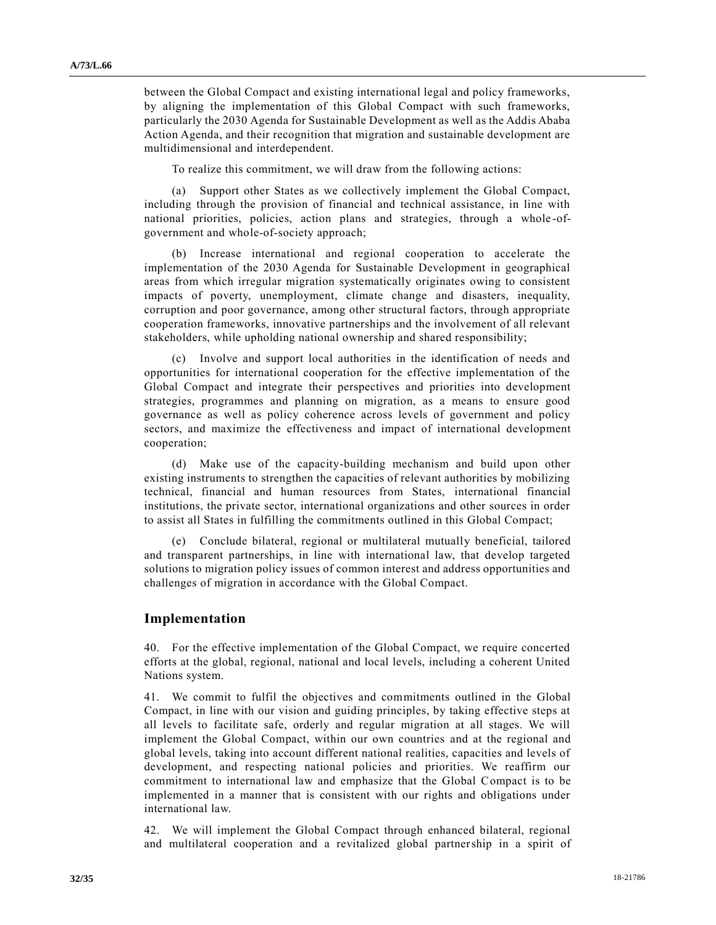between the Global Compact and existing international legal and policy frameworks, by aligning the implementation of this Global Compact with such frameworks, particularly the 2030 Agenda for Sustainable Development as well as the Addis Ababa Action Agenda, and their recognition that migration and sustainable development are multidimensional and interdependent.

To realize this commitment, we will draw from the following actions:

Support other States as we collectively implement the Global Compact, including through the provision of financial and technical assistance, in line with national priorities, policies, action plans and strategies, through a whole -ofgovernment and whole-of-society approach;

(b) Increase international and regional cooperation to accelerate the implementation of the 2030 Agenda for Sustainable Development in geographical areas from which irregular migration systematically originates owing to consistent impacts of poverty, unemployment, climate change and disasters, inequality, corruption and poor governance, among other structural factors, through appropriate cooperation frameworks, innovative partnerships and the involvement of all relevant stakeholders, while upholding national ownership and shared responsibility;

(c) Involve and support local authorities in the identification of needs and opportunities for international cooperation for the effective implementation of the Global Compact and integrate their perspectives and priorities into development strategies, programmes and planning on migration, as a means to ensure good governance as well as policy coherence across levels of government and policy sectors, and maximize the effectiveness and impact of international development cooperation;

(d) Make use of the capacity-building mechanism and build upon other existing instruments to strengthen the capacities of relevant authorities by mobilizing technical, financial and human resources from States, international financial institutions, the private sector, international organizations and other sources in order to assist all States in fulfilling the commitments outlined in this Global Compact;

(e) Conclude bilateral, regional or multilateral mutually beneficial, tailored and transparent partnerships, in line with international law, that develop targeted solutions to migration policy issues of common interest and address opportunities and challenges of migration in accordance with the Global Compact.

#### **Implementation**

40. For the effective implementation of the Global Compact, we require concerted efforts at the global, regional, national and local levels, including a coherent United Nations system.

41. We commit to fulfil the objectives and commitments outlined in the Global Compact, in line with our vision and guiding principles, by taking effective steps at all levels to facilitate safe, orderly and regular migration at all stages. We will implement the Global Compact, within our own countries and at the regional and global levels, taking into account different national realities, capacities and levels of development, and respecting national policies and priorities. We reaffirm our commitment to international law and emphasize that the Global Compact is to be implemented in a manner that is consistent with our rights and obligations under international law.

42. We will implement the Global Compact through enhanced bilateral, regional and multilateral cooperation and a revitalized global partnership in a spirit of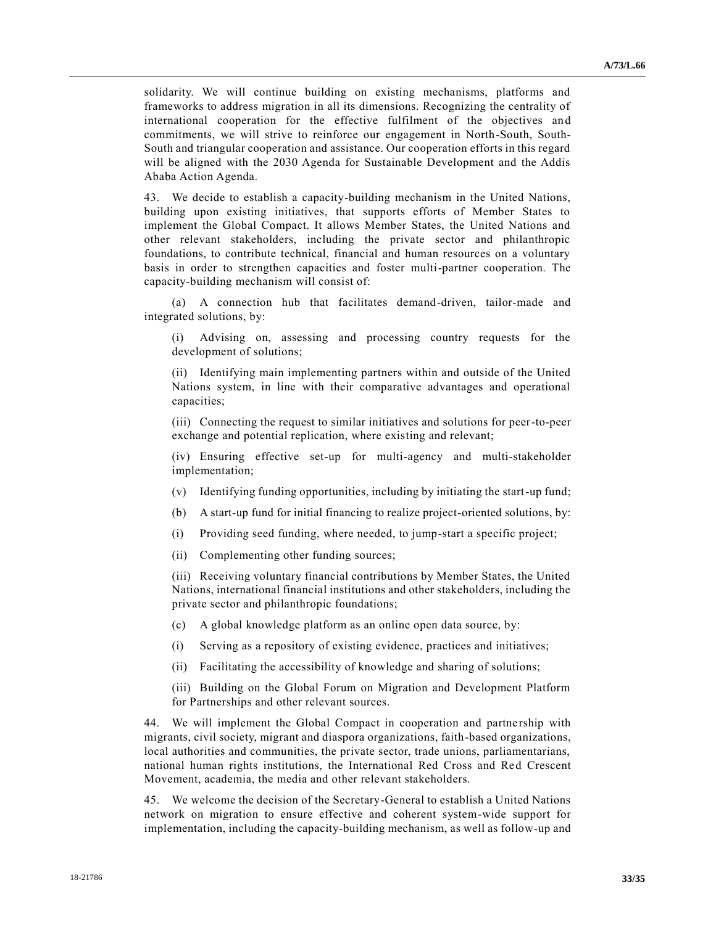solidarity. We will continue building on existing mechanisms, platforms and frameworks to address migration in all its dimensions. Recognizing the centrality of international cooperation for the effective fulfilment of the objectives and commitments, we will strive to reinforce our engagement in North-South, South-South and triangular cooperation and assistance. Our cooperation efforts in this regard will be aligned with the 2030 Agenda for Sustainable Development and the Addis Ababa Action Agenda.

43. We decide to establish a capacity-building mechanism in the United Nations, building upon existing initiatives, that supports efforts of Member States to implement the Global Compact. It allows Member States, the United Nations and other relevant stakeholders, including the private sector and philanthropic foundations, to contribute technical, financial and human resources on a voluntary basis in order to strengthen capacities and foster multi-partner cooperation. The capacity-building mechanism will consist of:

(a) A connection hub that facilitates demand-driven, tailor-made and integrated solutions, by:

(i) Advising on, assessing and processing country requests for the development of solutions;

(ii) Identifying main implementing partners within and outside of the United Nations system, in line with their comparative advantages and operational capacities;

(iii) Connecting the request to similar initiatives and solutions for peer-to-peer exchange and potential replication, where existing and relevant;

(iv) Ensuring effective set-up for multi-agency and multi-stakeholder implementation;

- (v) Identifying funding opportunities, including by initiating the start-up fund;
- (b) A start-up fund for initial financing to realize project-oriented solutions, by:
- (i) Providing seed funding, where needed, to jump-start a specific project;
- (ii) Complementing other funding sources;

(iii) Receiving voluntary financial contributions by Member States, the United Nations, international financial institutions and other stakeholders, including the private sector and philanthropic foundations;

- (c) A global knowledge platform as an online open data source, by:
- (i) Serving as a repository of existing evidence, practices and initiatives;
- (ii) Facilitating the accessibility of knowledge and sharing of solutions;

(iii) Building on the Global Forum on Migration and Development Platform for Partnerships and other relevant sources.

44. We will implement the Global Compact in cooperation and partnership with migrants, civil society, migrant and diaspora organizations, faith-based organizations, local authorities and communities, the private sector, trade unions, parliamentarians, national human rights institutions, the International Red Cross and Red Crescent Movement, academia, the media and other relevant stakeholders.

45. We welcome the decision of the Secretary-General to establish a United Nations network on migration to ensure effective and coherent system-wide support for implementation, including the capacity-building mechanism, as well as follow-up and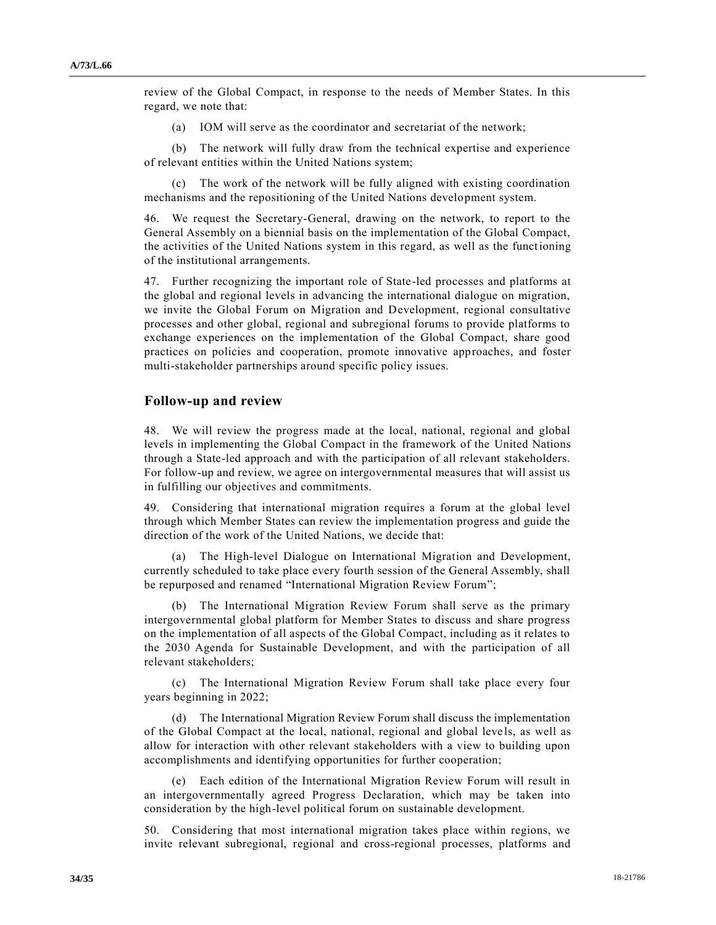review of the Global Compact, in response to the needs of Member States. In this regard, we note that:

(a) IOM will serve as the coordinator and secretariat of the network;

(b) The network will fully draw from the technical expertise and experience of relevant entities within the United Nations system;

(c) The work of the network will be fully aligned with existing coordination mechanisms and the repositioning of the United Nations development system.

46. We request the Secretary-General, drawing on the network, to report to the General Assembly on a biennial basis on the implementation of the Global Compact, the activities of the United Nations system in this regard, as well as the functioning of the institutional arrangements.

47. Further recognizing the important role of State-led processes and platforms at the global and regional levels in advancing the international dialogue on migration, we invite the Global Forum on Migration and Development, regional consultative processes and other global, regional and subregional forums to provide platforms to exchange experiences on the implementation of the Global Compact, share good practices on policies and cooperation, promote innovative approaches, and foster multi-stakeholder partnerships around specific policy issues.

### **Follow-up and review**

48. We will review the progress made at the local, national, regional and global levels in implementing the Global Compact in the framework of the United Nations through a State-led approach and with the participation of all relevant stakeholders. For follow-up and review, we agree on intergovernmental measures that will assist us in fulfilling our objectives and commitments.

49. Considering that international migration requires a forum at the global level through which Member States can review the implementation progress and guide the direction of the work of the United Nations, we decide that:

(a) The High-level Dialogue on International Migration and Development, currently scheduled to take place every fourth session of the General Assembly, shall be repurposed and renamed "International Migration Review Forum";

(b) The International Migration Review Forum shall serve as the primary intergovernmental global platform for Member States to discuss and share progress on the implementation of all aspects of the Global Compact, including as it relates to the 2030 Agenda for Sustainable Development, and with the participation of all relevant stakeholders;

(c) The International Migration Review Forum shall take place every four years beginning in 2022;

(d) The International Migration Review Forum shall discuss the implementation of the Global Compact at the local, national, regional and global leve ls, as well as allow for interaction with other relevant stakeholders with a view to building upon accomplishments and identifying opportunities for further cooperation;

(e) Each edition of the International Migration Review Forum will result in an intergovernmentally agreed Progress Declaration, which may be taken into consideration by the high-level political forum on sustainable development.

50. Considering that most international migration takes place within regions, we invite relevant subregional, regional and cross-regional processes, platforms and